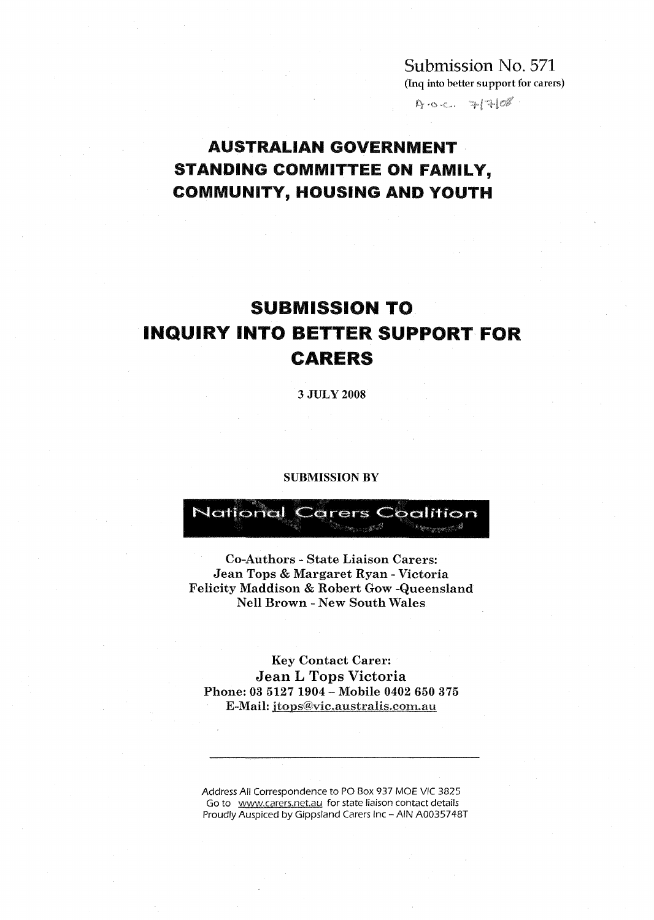Submission No. 571 (Inq into better support for carers)

 $9 - 0$ .  $7 - 100$ 

# AUSTRALIAN GOVERNMENT STANDING COMMITTEE ON FAMILY, COMMUNITY, HOUSING AND YOUTH

# SUBMISSION TO INQUIRY INTO BETTER SUPPORT FOR CARERS

3 JULY 2008

#### SUBMISSION BY



Co-Authors - State Liaison Carers: Jean Tops & Margaret Ryan - Victoria Felicity Maddison & Robert Gow -Queensland Nell Brown - New South Wales

Key Contact Carer: Jean L Tops Victoria Phone: 03 5127 1904 - Mobile 0402 650 375 E-Mail: itops@vic.australis.com.au

Address All Correspondence to PO Box 937 MOE VIC 3825 Go to www.carers.net.au for state liaison contact details Proudly Auspiced by Gippsland Carers Inc - AIN A0035748T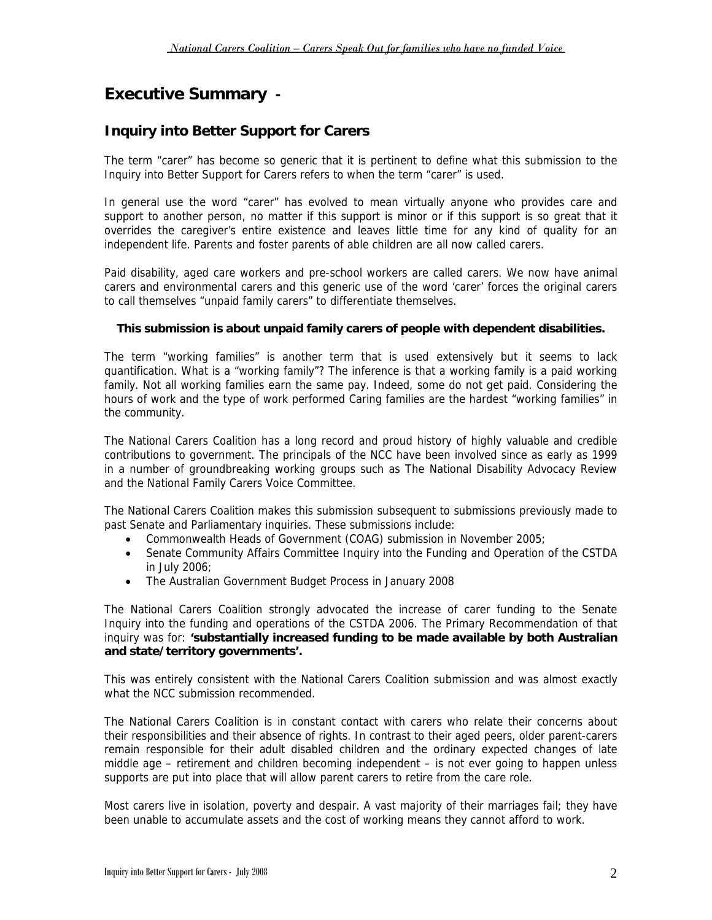# **Executive Summary -**

### **Inquiry into Better Support for Carers**

The term "carer" has become so generic that it is pertinent to define what this submission to the Inquiry into Better Support for Carers refers to when the term "carer" is used.

In general use the word "carer" has evolved to mean virtually anyone who provides care and support to another person, no matter if this support is minor or if this support is so great that it overrides the caregiver's entire existence and leaves little time for any kind of quality for an independent life. Parents and foster parents of able children are all now called carers.

Paid disability, aged care workers and pre-school workers are called carers. We now have animal carers and environmental carers and this generic use of the word 'carer' forces the original carers to call themselves "unpaid family carers" to differentiate themselves.

### **This submission is about unpaid family carers of people with dependent disabilities.**

The term "working families" is another term that is used extensively but it seems to lack quantification. What is a "working family"? The inference is that a working family is a paid working family. Not all working families earn the same pay. Indeed, some do not get paid. Considering the hours of work and the type of work performed Caring families are the hardest "working families" in the community.

The National Carers Coalition has a long record and proud history of highly valuable and credible contributions to government. The principals of the NCC have been involved since as early as 1999 in a number of groundbreaking working groups such as The National Disability Advocacy Review and the National Family Carers Voice Committee.

The National Carers Coalition makes this submission subsequent to submissions previously made to past Senate and Parliamentary inquiries. These submissions include:

- Commonwealth Heads of Government (COAG) submission in November 2005;
- Senate Community Affairs Committee Inquiry into the Funding and Operation of the CSTDA in July 2006;
- The Australian Government Budget Process in January 2008

The National Carers Coalition strongly advocated the increase of carer funding to the Senate Inquiry into the funding and operations of the CSTDA 2006. The Primary Recommendation of that inquiry was for: **'substantially increased funding to be made available by both Australian and state/territory governments'.** 

This was entirely consistent with the National Carers Coalition submission and was almost exactly what the NCC submission recommended.

The National Carers Coalition is in constant contact with carers who relate their concerns about their responsibilities and their absence of rights. In contrast to their aged peers, older parent-carers remain responsible for their adult disabled children and the ordinary expected changes of late middle age – retirement and children becoming independent – is not ever going to happen unless supports are put into place that will allow parent carers to retire from the care role.

Most carers live in isolation, poverty and despair. A vast majority of their marriages fail; they have been unable to accumulate assets and the cost of working means they cannot afford to work.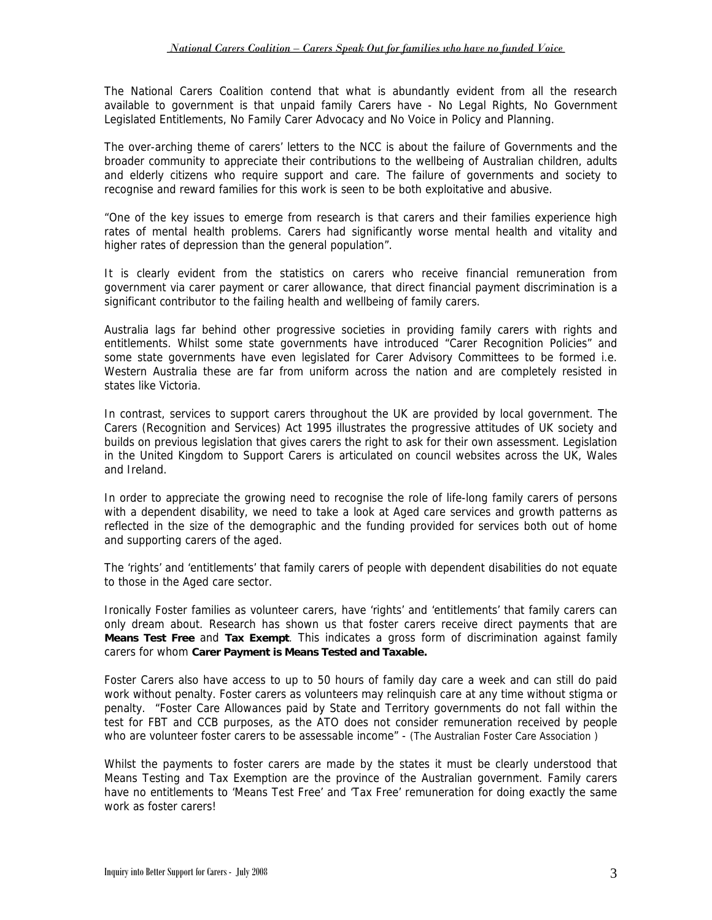The National Carers Coalition contend that what is abundantly evident from all the research available to government is that unpaid family Carers have - No Legal Rights, No Government Legislated Entitlements, No Family Carer Advocacy and No Voice in Policy and Planning.

The over-arching theme of carers' letters to the NCC is about the failure of Governments and the broader community to appreciate their contributions to the wellbeing of Australian children, adults and elderly citizens who require support and care. The failure of governments and society to recognise and reward families for this work is seen to be both exploitative and abusive.

"One of the key issues to emerge from research is that carers and their families experience high rates of mental health problems. Carers had significantly worse mental health and vitality and higher rates of depression than the general population".

It is clearly evident from the statistics on carers who receive financial remuneration from government via carer payment or carer allowance, that direct financial payment discrimination is a significant contributor to the failing health and wellbeing of family carers.

Australia lags far behind other progressive societies in providing family carers with rights and entitlements. Whilst some state governments have introduced "Carer Recognition Policies" and some state governments have even legislated for Carer Advisory Committees to be formed i.e. Western Australia these are far from uniform across the nation and are completely resisted in states like Victoria.

In contrast, services to support carers throughout the UK are provided by local government. The Carers (Recognition and Services) Act 1995 illustrates the progressive attitudes of UK society and builds on previous legislation that gives carers the right to ask for their own assessment. Legislation in the United Kingdom to Support Carers is articulated on council websites across the UK, Wales and Ireland.

In order to appreciate the growing need to recognise the role of life-long family carers of persons with a dependent disability, we need to take a look at Aged care services and growth patterns as reflected in the size of the demographic and the funding provided for services both out of home and supporting carers of the aged.

The 'rights' and 'entitlements' that family carers of people with dependent disabilities do not equate to those in the Aged care sector.

Ironically Foster families as volunteer carers, have 'rights' and 'entitlements' that family carers can only dream about. Research has shown us that foster carers receive direct payments that are **Means Test Free** and **Tax Exempt**. This indicates a gross form of discrimination against family carers for whom **Carer Payment is Means Tested and Taxable.** 

Foster Carers also have access to up to 50 hours of family day care a week and can still do paid work without penalty. Foster carers as volunteers may relinquish care at any time without stigma or penalty. "Foster Care Allowances paid by State and Territory governments do not fall within the test for FBT and CCB purposes, as the ATO does not consider remuneration received by people who are volunteer foster carers to be assessable income" - (The Australian Foster Care Association )

Whilst the payments to foster carers are made by the states it must be clearly understood that Means Testing and Tax Exemption are the province of the Australian government. Family carers have no entitlements to 'Means Test Free' and 'Tax Free' remuneration for doing exactly the same work as foster carers!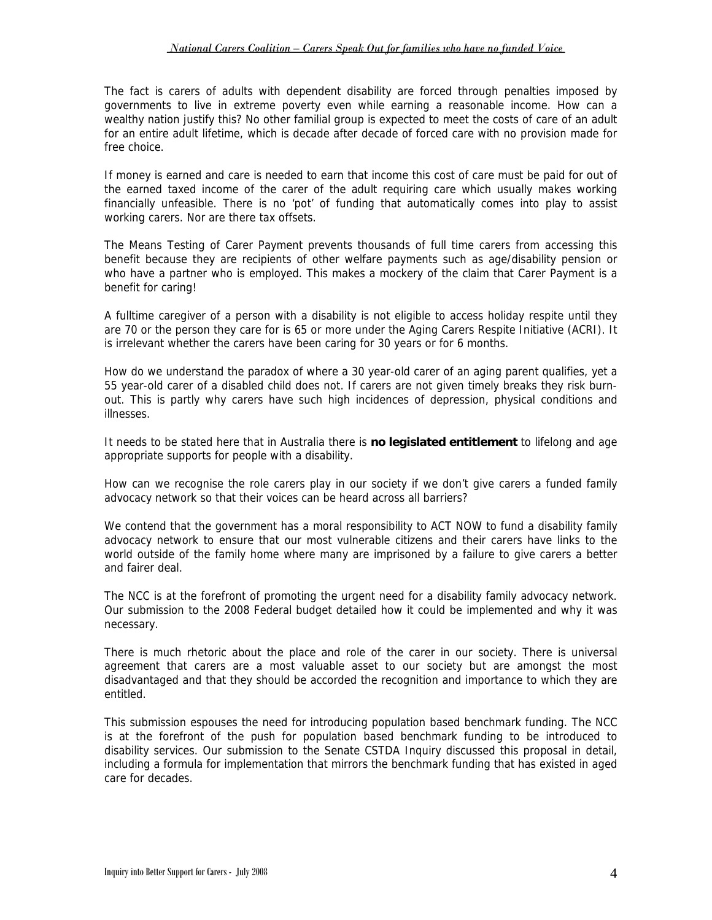#### *National Carers Coalition – Carers Speak Out for families who have no funded Voice*

The fact is carers of adults with dependent disability are forced through penalties imposed by governments to live in extreme poverty even while earning a reasonable income. How can a wealthy nation justify this? No other familial group is expected to meet the costs of care of an adult for an entire adult lifetime, which is decade after decade of forced care with no provision made for free choice.

If money is earned and care is needed to earn that income this cost of care must be paid for out of the earned taxed income of the carer of the adult requiring care which usually makes working financially unfeasible. There is no 'pot' of funding that automatically comes into play to assist working carers. Nor are there tax offsets.

The Means Testing of Carer Payment prevents thousands of full time carers from accessing this benefit because they are recipients of other welfare payments such as age/disability pension or who have a partner who is employed. This makes a mockery of the claim that Carer Payment is a benefit for caring!

A fulltime caregiver of a person with a disability is not eligible to access holiday respite until they are 70 or the person they care for is 65 or more under the Aging Carers Respite Initiative (ACRI). It is irrelevant whether the carers have been caring for 30 years or for 6 months.

How do we understand the paradox of where a 30 year-old carer of an aging parent qualifies, yet a 55 year-old carer of a disabled child does not. If carers are not given timely breaks they risk burnout. This is partly why carers have such high incidences of depression, physical conditions and illnesses.

It needs to be stated here that in Australia there is **no legislated entitlement** to lifelong and age appropriate supports for people with a disability.

How can we recognise the role carers play in our society if we don't give carers a funded family advocacy network so that their voices can be heard across all barriers?

We contend that the government has a moral responsibility to ACT NOW to fund a disability family advocacy network to ensure that our most vulnerable citizens and their carers have links to the world outside of the family home where many are imprisoned by a failure to give carers a better and fairer deal.

The NCC is at the forefront of promoting the urgent need for a disability family advocacy network. Our submission to the 2008 Federal budget detailed how it could be implemented and why it was necessary.

There is much rhetoric about the place and role of the carer in our society. There is universal agreement that carers are a most valuable asset to our society but are amongst the most disadvantaged and that they should be accorded the recognition and importance to which they are entitled.

This submission espouses the need for introducing population based benchmark funding. The NCC is at the forefront of the push for population based benchmark funding to be introduced to disability services. Our submission to the Senate CSTDA Inquiry discussed this proposal in detail, including a formula for implementation that mirrors the benchmark funding that has existed in aged care for decades.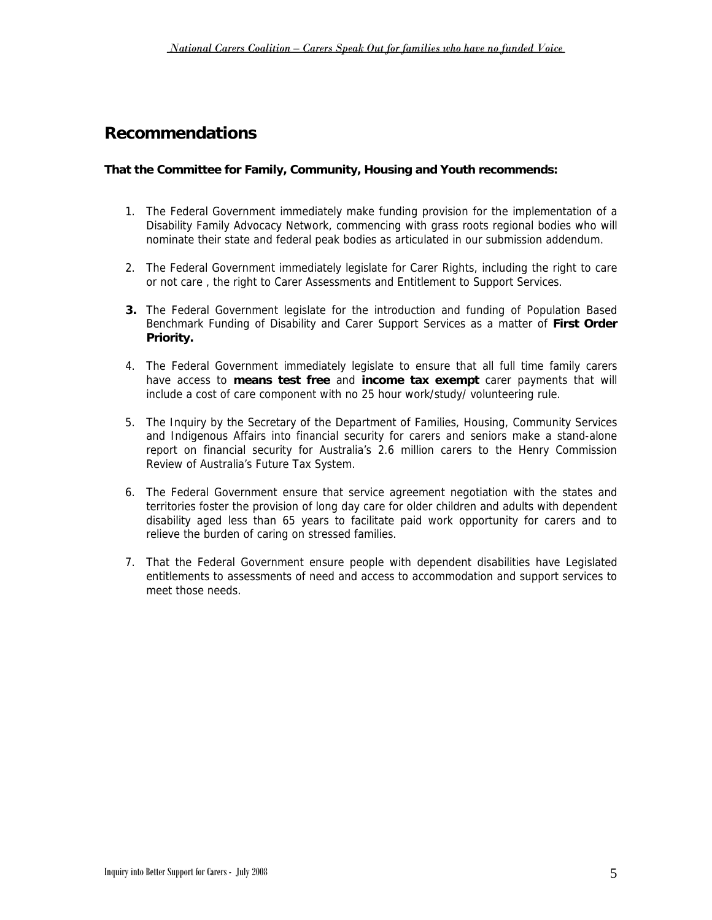## **Recommendations**

### **That the Committee for Family, Community, Housing and Youth recommends:**

- 1. The Federal Government immediately make funding provision for the implementation of a Disability Family Advocacy Network, commencing with grass roots regional bodies who will nominate their state and federal peak bodies as articulated in our submission addendum.
- 2. The Federal Government immediately legislate for Carer Rights, including the right to care or not care , the right to Carer Assessments and Entitlement to Support Services.
- **3.** The Federal Government legislate for the introduction and funding of Population Based Benchmark Funding of Disability and Carer Support Services as a matter of **First Order Priority.**
- 4. The Federal Government immediately legislate to ensure that all full time family carers have access to **means test free** and **income tax exempt** carer payments that will include a cost of care component with no 25 hour work/study/ volunteering rule.
- 5. The Inquiry by the Secretary of the Department of Families, Housing, Community Services and Indigenous Affairs into financial security for carers and seniors make a stand-alone report on financial security for Australia's 2.6 million carers to the Henry Commission Review of Australia's Future Tax System.
- 6. The Federal Government ensure that service agreement negotiation with the states and territories foster the provision of long day care for older children and adults with dependent disability aged less than 65 years to facilitate paid work opportunity for carers and to relieve the burden of caring on stressed families.
- 7. That the Federal Government ensure people with dependent disabilities have Legislated entitlements to assessments of need and access to accommodation and support services to meet those needs.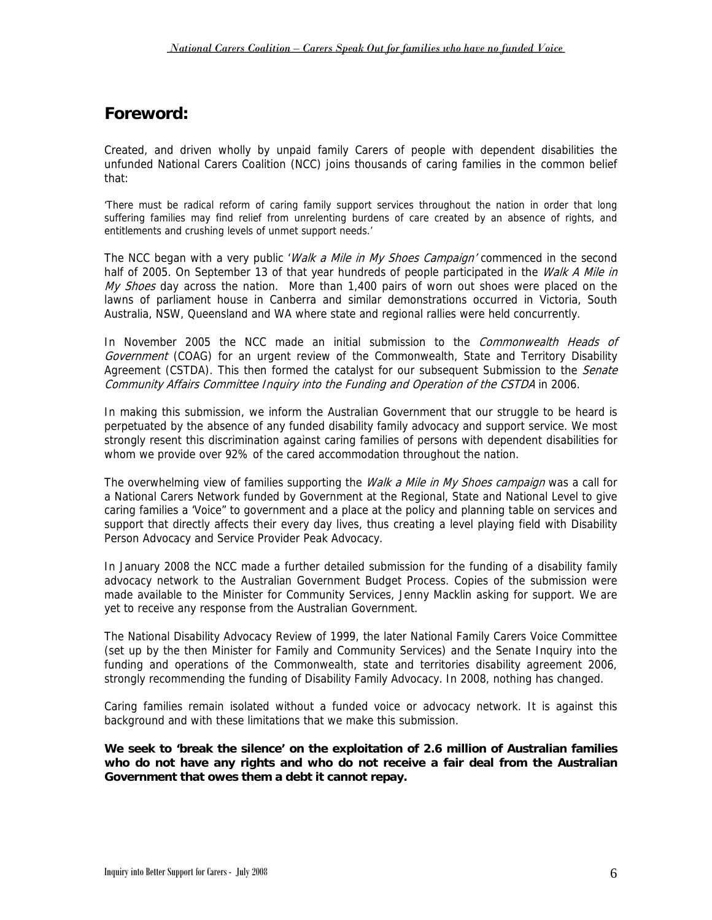# **Foreword:**

Created, and driven wholly by unpaid family Carers of people with dependent disabilities the unfunded National Carers Coalition (NCC) joins thousands of caring families in the common belief that:

'There must be radical reform of caring family support services throughout the nation in order that long suffering families may find relief from unrelenting burdens of care created by an absence of rights, and entitlements and crushing levels of unmet support needs.'

The NCC began with a very public 'Walk a Mile in My Shoes Campaign' commenced in the second half of 2005. On September 13 of that year hundreds of people participated in the *Walk A Mile in* My Shoes day across the nation. More than 1,400 pairs of worn out shoes were placed on the lawns of parliament house in Canberra and similar demonstrations occurred in Victoria, South Australia, NSW, Queensland and WA where state and regional rallies were held concurrently.

In November 2005 the NCC made an initial submission to the Commonwealth Heads of Government (COAG) for an urgent review of the Commonwealth, State and Territory Disability Agreement (CSTDA). This then formed the catalyst for our subsequent Submission to the Senate Community Affairs Committee Inquiry into the Funding and Operation of the CSTDA in 2006.

In making this submission, we inform the Australian Government that our struggle to be heard is perpetuated by the absence of any funded disability family advocacy and support service. We most strongly resent this discrimination against caring families of persons with dependent disabilities for whom we provide over 92% of the cared accommodation throughout the nation.

The overwhelming view of families supporting the *Walk a Mile in My Shoes campaign* was a call for a National Carers Network funded by Government at the Regional, State and National Level to give caring families a 'Voice" to government and a place at the policy and planning table on services and support that directly affects their every day lives, thus creating a level playing field with Disability Person Advocacy and Service Provider Peak Advocacy.

In January 2008 the NCC made a further detailed submission for the funding of a disability family advocacy network to the Australian Government Budget Process. Copies of the submission were made available to the Minister for Community Services, Jenny Macklin asking for support. We are yet to receive any response from the Australian Government.

The National Disability Advocacy Review of 1999, the later National Family Carers Voice Committee (set up by the then Minister for Family and Community Services) and the Senate Inquiry into the funding and operations of the Commonwealth, state and territories disability agreement 2006, strongly recommending the funding of Disability Family Advocacy. In 2008, nothing has changed.

Caring families remain isolated without a funded voice or advocacy network. It is against this background and with these limitations that we make this submission.

**We seek to 'break the silence' on the exploitation of 2.6 million of Australian families who do not have any rights and who do not receive a fair deal from the Australian Government that owes them a debt it cannot repay.**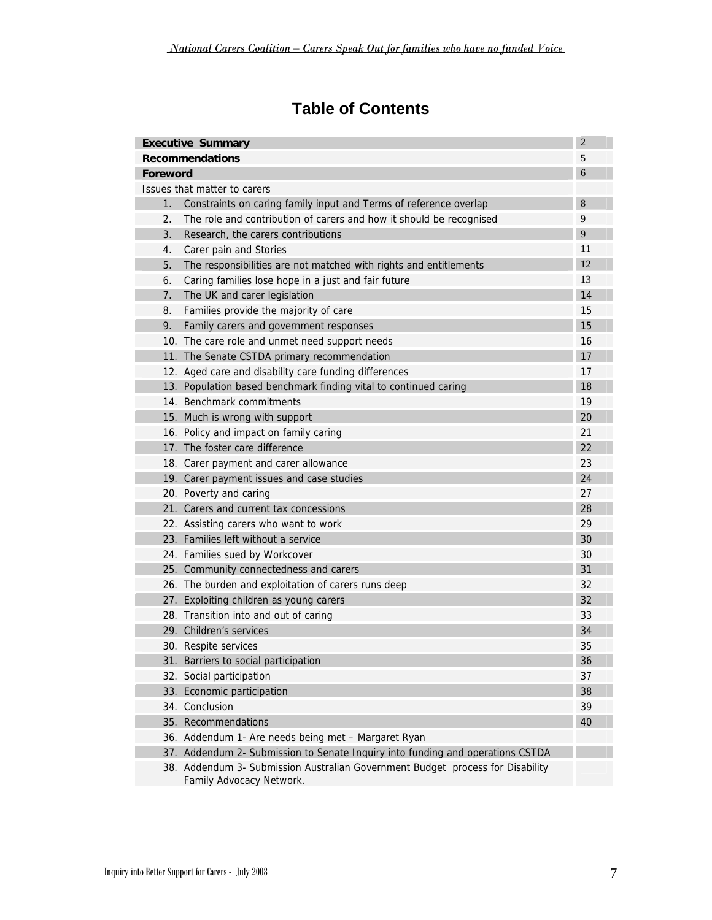|  |  | <b>Table of Contents</b> |
|--|--|--------------------------|
|--|--|--------------------------|

|          | <b>Executive Summary</b>                                                                                   | 2  |
|----------|------------------------------------------------------------------------------------------------------------|----|
|          | <b>Recommendations</b>                                                                                     | 5  |
| Foreword |                                                                                                            | 6  |
|          | Issues that matter to carers                                                                               |    |
| 1.       | Constraints on caring family input and Terms of reference overlap                                          | 8  |
| 2.       | The role and contribution of carers and how it should be recognised                                        | 9  |
| 3.       | Research, the carers contributions                                                                         | 9  |
| 4.       | Carer pain and Stories                                                                                     | 11 |
| 5.       | The responsibilities are not matched with rights and entitlements                                          | 12 |
| 6.       | Caring families lose hope in a just and fair future                                                        | 13 |
| 7.       | The UK and carer legislation                                                                               | 14 |
| 8.       | Families provide the majority of care                                                                      | 15 |
| 9.       | Family carers and government responses                                                                     | 15 |
|          | 10. The care role and unmet need support needs                                                             | 16 |
|          | 11. The Senate CSTDA primary recommendation                                                                | 17 |
|          | 12. Aged care and disability care funding differences                                                      | 17 |
|          | 13. Population based benchmark finding vital to continued caring                                           | 18 |
|          | 14. Benchmark commitments                                                                                  | 19 |
|          | 15. Much is wrong with support                                                                             | 20 |
|          | 16. Policy and impact on family caring                                                                     | 21 |
|          | 17. The foster care difference                                                                             | 22 |
|          | 18. Carer payment and carer allowance                                                                      | 23 |
|          | 19. Carer payment issues and case studies                                                                  | 24 |
|          | 20. Poverty and caring                                                                                     | 27 |
|          | 21. Carers and current tax concessions                                                                     | 28 |
|          | 22. Assisting carers who want to work                                                                      | 29 |
|          | 23. Families left without a service                                                                        | 30 |
|          | 24. Families sued by Workcover                                                                             | 30 |
|          | 25. Community connectedness and carers                                                                     | 31 |
|          | 26. The burden and exploitation of carers runs deep                                                        | 32 |
|          | 27. Exploiting children as young carers                                                                    | 32 |
|          | 28. Transition into and out of caring                                                                      | 33 |
|          | 29. Children's services                                                                                    | 34 |
|          | 30. Respite services                                                                                       | 35 |
|          | 31. Barriers to social participation                                                                       | 36 |
|          | 32. Social participation                                                                                   | 37 |
| 33.      | Economic participation                                                                                     | 38 |
|          | 34. Conclusion                                                                                             | 39 |
|          | 35. Recommendations                                                                                        | 40 |
|          | 36. Addendum 1- Are needs being met - Margaret Ryan                                                        |    |
|          | 37. Addendum 2- Submission to Senate Inquiry into funding and operations CSTDA                             |    |
|          | 38. Addendum 3- Submission Australian Government Budget process for Disability<br>Family Advocacy Network. |    |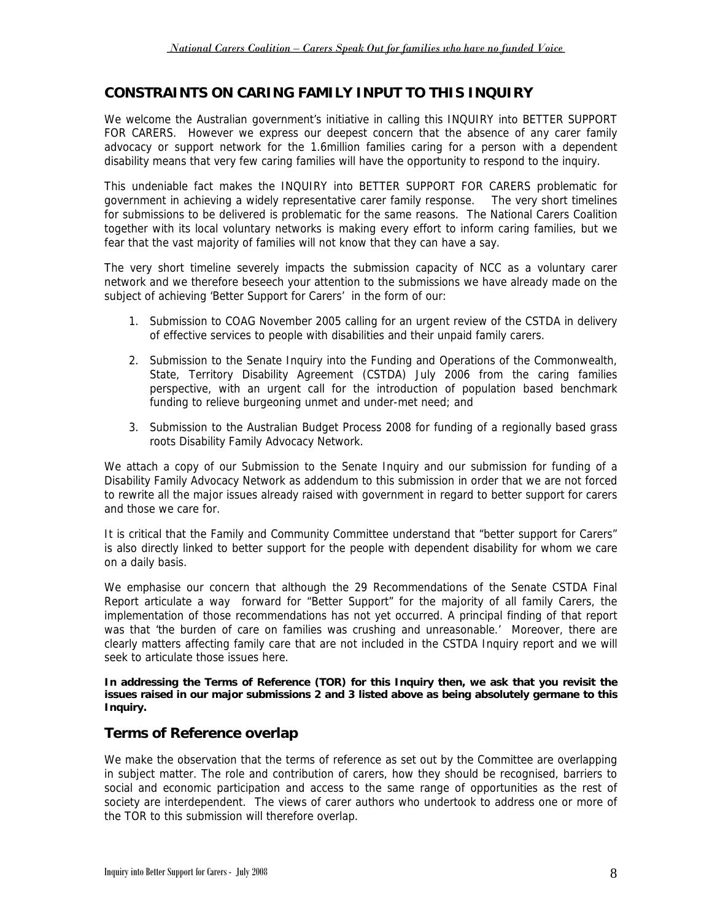### **CONSTRAINTS ON CARING FAMILY INPUT TO THIS INQUIRY**

We welcome the Australian government's initiative in calling this INQUIRY into BETTER SUPPORT FOR CARERS. However we express our deepest concern that the absence of any carer family advocacy or support network for the 1.6million families caring for a person with a dependent disability means that very few caring families will have the opportunity to respond to the inquiry.

This undeniable fact makes the INQUIRY into BETTER SUPPORT FOR CARERS problematic for government in achieving a widely representative carer family response. The very short timelines for submissions to be delivered is problematic for the same reasons. The National Carers Coalition together with its local voluntary networks is making every effort to inform caring families, but we fear that the vast majority of families will not know that they can have a say.

The very short timeline severely impacts the submission capacity of NCC as a voluntary carer network and we therefore beseech your attention to the submissions we have already made on the subject of achieving 'Better Support for Carers' in the form of our:

- 1. Submission to COAG November 2005 calling for an urgent review of the CSTDA in delivery of effective services to people with disabilities and their unpaid family carers.
- 2. Submission to the Senate Inquiry into the Funding and Operations of the Commonwealth, State, Territory Disability Agreement (CSTDA) July 2006 from the caring families perspective, with an urgent call for the introduction of population based benchmark funding to relieve burgeoning unmet and under-met need; and
- 3. Submission to the Australian Budget Process 2008 for funding of a regionally based grass roots Disability Family Advocacy Network.

We attach a copy of our Submission to the Senate Inquiry and our submission for funding of a Disability Family Advocacy Network as addendum to this submission in order that we are not forced to rewrite all the major issues already raised with government in regard to better support for carers and those we care for.

It is critical that the Family and Community Committee understand that "better support for Carers" is also directly linked to better support for the people with dependent disability for whom we care on a daily basis.

We emphasise our concern that although the 29 Recommendations of the Senate CSTDA Final Report articulate a way forward for "Better Support" for the majority of all family Carers, the implementation of those recommendations has not yet occurred. A principal finding of that report was that 'the burden of care on families was crushing and unreasonable.' Moreover, there are clearly matters affecting family care that are not included in the CSTDA Inquiry report and we will seek to articulate those issues here.

**In addressing the Terms of Reference (TOR) for this Inquiry then, we ask that you revisit the issues raised in our major submissions 2 and 3 listed above as being absolutely germane to this Inquiry.** 

### **Terms of Reference overlap**

We make the observation that the terms of reference as set out by the Committee are overlapping in subject matter. The role and contribution of carers, how they should be recognised, barriers to social and economic participation and access to the same range of opportunities as the rest of society are interdependent. The views of carer authors who undertook to address one or more of the TOR to this submission will therefore overlap.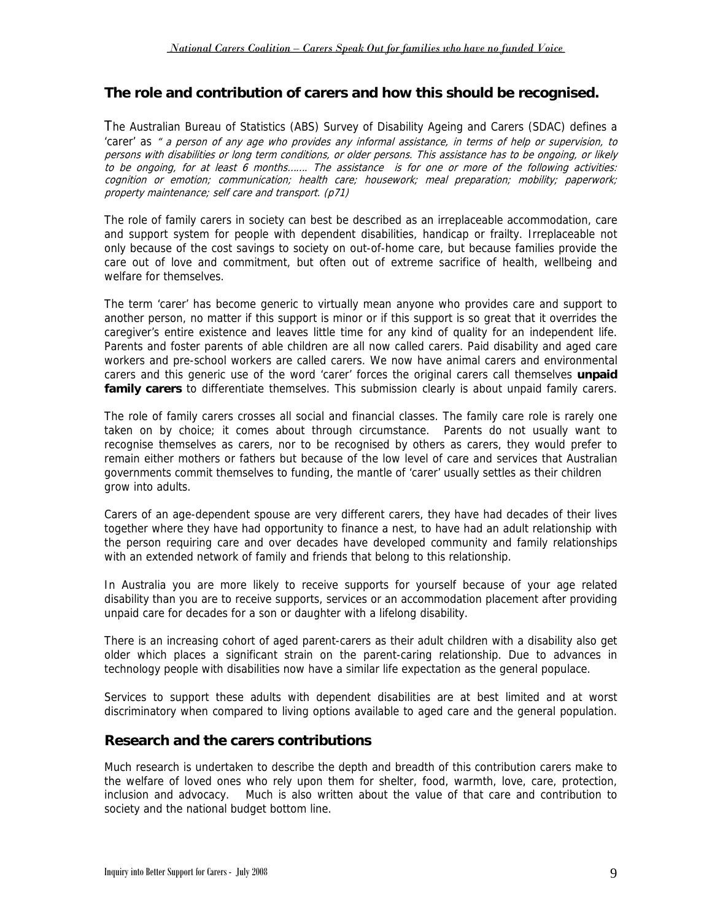### **The role and contribution of carers and how this should be recognised.**

The Australian Bureau of Statistics (ABS) Survey of Disability Ageing and Carers (SDAC) defines a 'carer' as " a person of any age who provides any informal assistance, in terms of help or supervision, to persons with disabilities or long term conditions, or older persons. This assistance has to be ongoing, or likely to be ongoing, for at least 6 months……. The assistance is for one or more of the following activities: cognition or emotion; communication; health care; housework; meal preparation; mobility; paperwork; property maintenance; self care and transport. (p71)

The role of family carers in society can best be described as an irreplaceable accommodation, care and support system for people with dependent disabilities, handicap or frailty. Irreplaceable not only because of the cost savings to society on out-of-home care, but because families provide the care out of love and commitment, but often out of extreme sacrifice of health, wellbeing and welfare for themselves.

The term 'carer' has become generic to virtually mean anyone who provides care and support to another person, no matter if this support is minor or if this support is so great that it overrides the caregiver's entire existence and leaves little time for any kind of quality for an independent life. Parents and foster parents of able children are all now called carers. Paid disability and aged care workers and pre-school workers are called carers. We now have animal carers and environmental carers and this generic use of the word 'carer' forces the original carers call themselves **unpaid family carers** to differentiate themselves. This submission clearly is about unpaid family carers.

The role of family carers crosses all social and financial classes. The family care role is rarely one taken on by choice; it comes about through circumstance. Parents do not usually want to recognise themselves as carers, nor to be recognised by others as carers, they would prefer to remain either mothers or fathers but because of the low level of care and services that Australian governments commit themselves to funding, the mantle of 'carer' usually settles as their children grow into adults.

Carers of an age-dependent spouse are very different carers, they have had decades of their lives together where they have had opportunity to finance a nest, to have had an adult relationship with the person requiring care and over decades have developed community and family relationships with an extended network of family and friends that belong to this relationship.

In Australia you are more likely to receive supports for yourself because of your age related disability than you are to receive supports, services or an accommodation placement after providing unpaid care for decades for a son or daughter with a lifelong disability.

There is an increasing cohort of aged parent-carers as their adult children with a disability also get older which places a significant strain on the parent-caring relationship. Due to advances in technology people with disabilities now have a similar life expectation as the general populace.

Services to support these adults with dependent disabilities are at best limited and at worst discriminatory when compared to living options available to aged care and the general population.

### **Research and the carers contributions**

Much research is undertaken to describe the depth and breadth of this contribution carers make to the welfare of loved ones who rely upon them for shelter, food, warmth, love, care, protection, inclusion and advocacy. Much is also written about the value of that care and contribution to society and the national budget bottom line.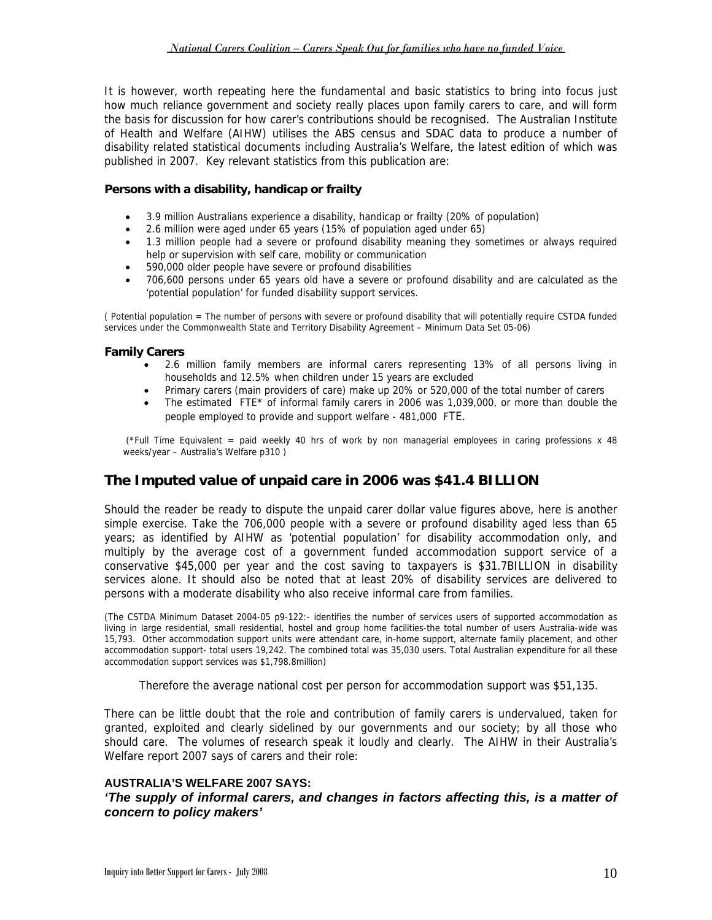It is however, worth repeating here the fundamental and basic statistics to bring into focus just how much reliance government and society really places upon family carers to care, and will form the basis for discussion for how carer's contributions should be recognised. The Australian Institute of Health and Welfare (AIHW) utilises the ABS census and SDAC data to produce a number of disability related statistical documents including Australia's Welfare, the latest edition of which was published in 2007. Key relevant statistics from this publication are:

### **Persons with a disability, handicap or frailty**

- 3.9 million Australians experience a disability, handicap or frailty (20% of population)
- 2.6 million were aged under 65 years (15% of population aged under 65)
- 1.3 million people had a severe or profound disability meaning they sometimes or always required help or supervision with self care, mobility or communication
- 590,000 older people have severe or profound disabilities
- 706,600 persons under 65 years old have a severe or profound disability and are calculated as the 'potential population' for funded disability support services.

( Potential population = The number of persons with severe or profound disability that will potentially require CSTDA funded services under the Commonwealth State and Territory Disability Agreement – Minimum Data Set 05-06)

#### **Family Carers**

- 2.6 million family members are informal carers representing 13% of all persons living in households and 12.5% when children under 15 years are excluded
- Primary carers (main providers of care) make up 20% or 520,000 of the total number of carers
- The estimated FTE\* of informal family carers in 2006 was 1,039,000, or more than double the people employed to provide and support welfare - 481,000 FTE.

 (\*Full Time Equivalent = paid weekly 40 hrs of work by non managerial employees in caring professions x 48 weeks/year – Australia's Welfare p310 )

### **The Imputed value of unpaid care in 2006 was \$41.4 BILLION**

Should the reader be ready to dispute the unpaid carer dollar value figures above, here is another simple exercise. Take the 706,000 people with a severe or profound disability aged less than 65 years; as identified by AIHW as 'potential population' for disability accommodation only, and multiply by the average cost of a government funded accommodation support service of a conservative \$45,000 per year and the cost saving to taxpayers is \$31.7BILLION in disability services alone. It should also be noted that at least 20% of disability services are delivered to persons with a moderate disability who also receive informal care from families.

(The CSTDA Minimum Dataset 2004-05 p9-122:- identifies the number of services users of supported accommodation as living in large residential, small residential, hostel and group home facilities-the total number of users Australia-wide was 15,793. Other accommodation support units were attendant care, in-home support, alternate family placement, and other accommodation support- total users 19,242. The combined total was 35,030 users. Total Australian expenditure for all these accommodation support services was \$1,798.8million)

Therefore the average national cost per person for accommodation support was \$51,135.

There can be little doubt that the role and contribution of family carers is undervalued, taken for granted, exploited and clearly sidelined by our governments and our society; by all those who should care. The volumes of research speak it loudly and clearly. The AIHW in their Australia's Welfare report 2007 says of carers and their role:

### **AUSTRALIA'S WELFARE 2007 SAYS:**

*'The supply of informal carers, and changes in factors affecting this, is a matter of concern to policy makers'*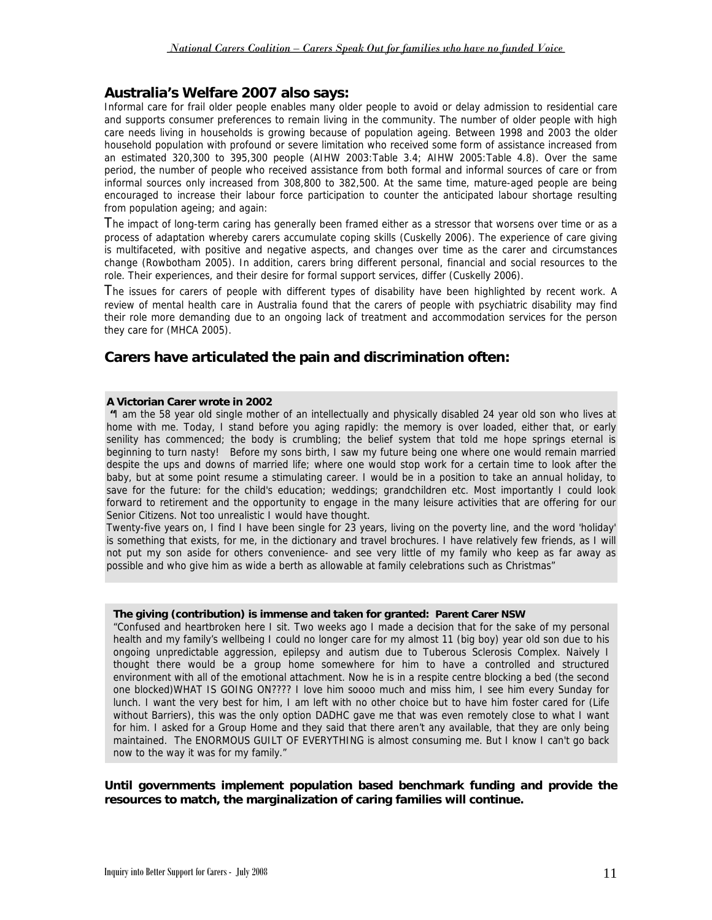### **Australia's Welfare 2007 also says:**

Informal care for frail older people enables many older people to avoid or delay admission to residential care and supports consumer preferences to remain living in the community. The number of older people with high care needs living in households is growing because of population ageing. Between 1998 and 2003 the older household population with profound or severe limitation who received some form of assistance increased from an estimated 320,300 to 395,300 people (AIHW 2003:Table 3.4; AIHW 2005:Table 4.8). Over the same period, the number of people who received assistance from both formal and informal sources of care or from informal sources only increased from 308,800 to 382,500. At the same time, mature-aged people are being encouraged to increase their labour force participation to counter the anticipated labour shortage resulting from population ageing; and again:

The impact of long-term caring has generally been framed either as a stressor that worsens over time or as a process of adaptation whereby carers accumulate coping skills (Cuskelly 2006). The experience of care giving is multifaceted, with positive and negative aspects, and changes over time as the carer and circumstances change (Rowbotham 2005). In addition, carers bring different personal, financial and social resources to the role. Their experiences, and their desire for formal support services, differ (Cuskelly 2006).

The issues for carers of people with different types of disability have been highlighted by recent work. A review of mental health care in Australia found that the carers of people with psychiatric disability may find their role more demanding due to an ongoing lack of treatment and accommodation services for the person they care for (MHCA 2005).

### **Carers have articulated the pain and discrimination often:**

#### **A Victorian Carer wrote in 2002**

 **"**I am the 58 year old single mother of an intellectually and physically disabled 24 year old son who lives at home with me. Today, I stand before you aging rapidly: the memory is over loaded, either that, or early senility has commenced; the body is crumbling; the belief system that told me hope springs eternal is beginning to turn nasty! Before my sons birth, I saw my future being one where one would remain married despite the ups and downs of married life; where one would stop work for a certain time to look after the baby, but at some point resume a stimulating career. I would be in a position to take an annual holiday, to save for the future: for the child's education; weddings; grandchildren etc. Most importantly I could look forward to retirement and the opportunity to engage in the many leisure activities that are offering for our Senior Citizens. Not too unrealistic I would have thought.

Twenty-five years on, I find I have been single for 23 years, living on the poverty line, and the word 'holiday' is something that exists, for me, in the dictionary and travel brochures. I have relatively few friends, as I will not put my son aside for others convenience- and see very little of my family who keep as far away as possible and who give him as wide a berth as allowable at family celebrations such as Christmas"

#### **The giving (contribution) is immense and taken for granted: Parent Carer NSW**

"Confused and heartbroken here I sit. Two weeks ago I made a decision that for the sake of my personal health and my family's wellbeing I could no longer care for my almost 11 (big boy) year old son due to his ongoing unpredictable aggression, epilepsy and autism due to Tuberous Sclerosis Complex. Naively I thought there would be a group home somewhere for him to have a controlled and structured environment with all of the emotional attachment. Now he is in a respite centre blocking a bed (the second one blocked)WHAT IS GOING ON???? I love him soooo much and miss him, I see him every Sunday for lunch. I want the very best for him, I am left with no other choice but to have him foster cared for (Life without Barriers), this was the only option DADHC gave me that was even remotely close to what I want for him. I asked for a Group Home and they said that there aren't any available, that they are only being maintained. The ENORMOUS GUILT OF EVERYTHING is almost consuming me. But I know I can't go back now to the way it was for my family."

#### **Until governments implement population based benchmark funding and provide the resources to match, the marginalization of caring families will continue.**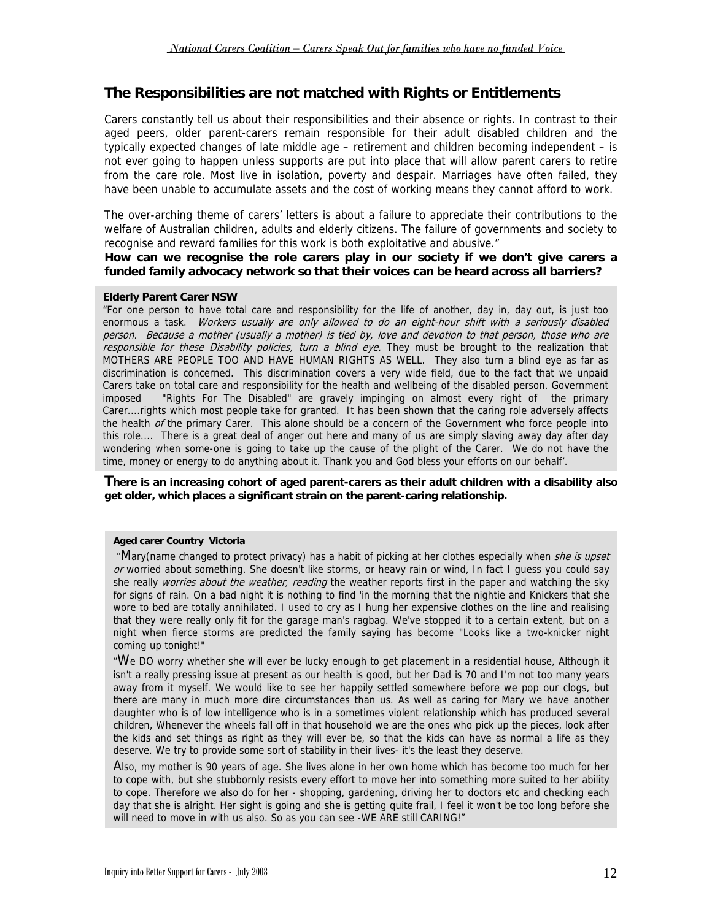### **The Responsibilities are not matched with Rights or Entitlements**

Carers constantly tell us about their responsibilities and their absence or rights. In contrast to their aged peers, older parent-carers remain responsible for their adult disabled children and the typically expected changes of late middle age – retirement and children becoming independent – is not ever going to happen unless supports are put into place that will allow parent carers to retire from the care role. Most live in isolation, poverty and despair. Marriages have often failed, they have been unable to accumulate assets and the cost of working means they cannot afford to work.

The over-arching theme of carers' letters is about a failure to appreciate their contributions to the welfare of Australian children, adults and elderly citizens. The failure of governments and society to recognise and reward families for this work is both exploitative and abusive."

**How can we recognise the role carers play in our society if we don't give carers a funded family advocacy network so that their voices can be heard across all barriers?**

#### **Elderly Parent Carer NSW**

"For one person to have total care and responsibility for the life of another, day in, day out, is just too enormous a task. Workers usually are only allowed to do an eight-hour shift with a seriously disabled person. Because a mother (usually a mother) is tied by, love and devotion to that person, those who are responsible for these Disability policies, turn a blind eye. They must be brought to the realization that MOTHERS ARE PEOPLE TOO AND HAVE HUMAN RIGHTS AS WELL. They also turn a blind eye as far as discrimination is concerned. This discrimination covers a very wide field, due to the fact that we unpaid Carers take on total care and responsibility for the health and wellbeing of the disabled person. Government imposed "Rights For The Disabled" are gravely impinging on almost every right of the primary Carer....rights which most people take for granted. It has been shown that the caring role adversely affects the health of the primary Carer. This alone should be a concern of the Government who force people into this role.... There is a great deal of anger out here and many of us are simply slaving away day after day wondering when some-one is going to take up the cause of the plight of the Carer. We do not have the time, money or energy to do anything about it. Thank you and God bless your efforts on our behalf'.

**There is an increasing cohort of aged parent-carers as their adult children with a disability also get older, which places a significant strain on the parent-caring relationship.** 

#### **Aged carer Country Victoria**

"Mary(name changed to protect privacy) has a habit of picking at her clothes especially when she is upset or worried about something. She doesn't like storms, or heavy rain or wind, In fact I guess you could say she really worries about the weather, reading the weather reports first in the paper and watching the sky for signs of rain. On a bad night it is nothing to find 'in the morning that the nightie and Knickers that she wore to bed are totally annihilated. I used to cry as I hung her expensive clothes on the line and realising that they were really only fit for the garage man's ragbag. We've stopped it to a certain extent, but on a night when fierce storms are predicted the family saying has become "Looks like a two-knicker night coming up tonight!"

"We DO worry whether she will ever be lucky enough to get placement in a residential house, Although it isn't a really pressing issue at present as our health is good, but her Dad is 70 and I'm not too many years away from it myself. We would like to see her happily settled somewhere before we pop our clogs, but there are many in much more dire circumstances than us. As well as caring for Mary we have another daughter who is of low intelligence who is in a sometimes violent relationship which has produced several children, Whenever the wheels fall off in that household we are the ones who pick up the pieces, look after the kids and set things as right as they will ever be, so that the kids can have as normal a life as they deserve. We try to provide some sort of stability in their lives- it's the least they deserve.

Also, my mother is 90 years of age. She lives alone in her own home which has become too much for her to cope with, but she stubbornly resists every effort to move her into something more suited to her ability to cope. Therefore we also do for her - shopping, gardening, driving her to doctors etc and checking each day that she is alright. Her sight is going and she is getting quite frail, I feel it won't be too long before she will need to move in with us also. So as you can see -WE ARE still CARING!"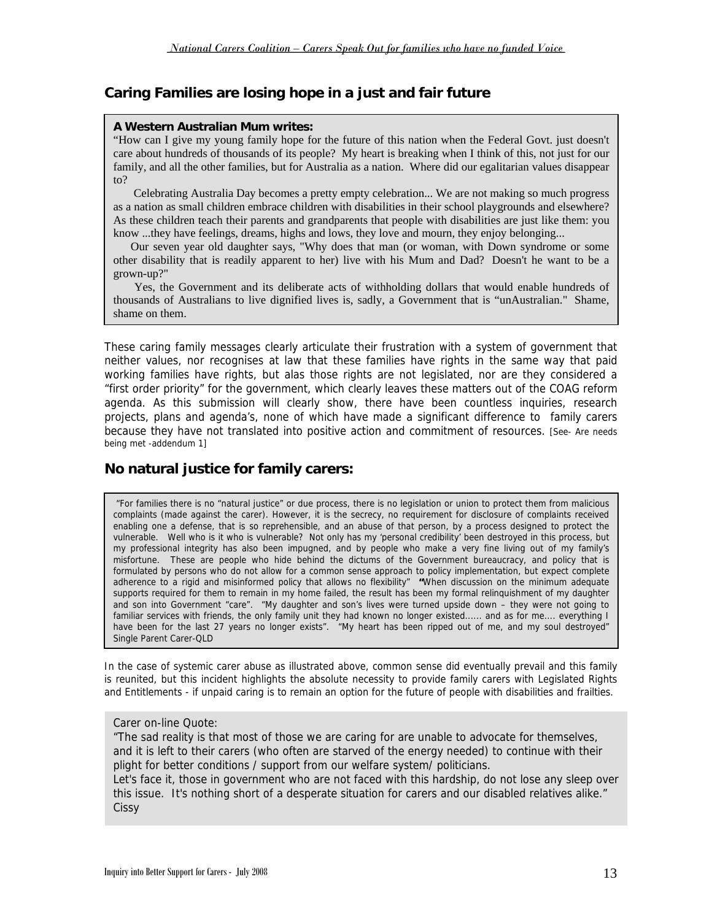### **Caring Families are losing hope in a just and fair future**

#### **A Western Australian Mum writes:**

"How can I give my young family hope for the future of this nation when the Federal Govt. just doesn't care about hundreds of thousands of its people? My heart is breaking when I think of this, not just for our family, and all the other families, but for Australia as a nation. Where did our egalitarian values disappear to?

 Celebrating Australia Day becomes a pretty empty celebration... We are not making so much progress as a nation as small children embrace children with disabilities in their school playgrounds and elsewhere? As these children teach their parents and grandparents that people with disabilities are just like them: you know ...they have feelings, dreams, highs and lows, they love and mourn, they enjoy belonging...

 Our seven year old daughter says, "Why does that man (or woman, with Down syndrome or some other disability that is readily apparent to her) live with his Mum and Dad? Doesn't he want to be a grown-up?"

 Yes, the Government and its deliberate acts of withholding dollars that would enable hundreds of thousands of Australians to live dignified lives is, sadly, a Government that is "unAustralian." Shame, shame on them.

These caring family messages clearly articulate their frustration with a system of government that neither values, nor recognises at law that these families have rights in the same way that paid working families have rights, but alas those rights are not legislated, nor are they considered a "first order priority" for the government, which clearly leaves these matters out of the COAG reform agenda. As this submission will clearly show, there have been countless inquiries, research projects, plans and agenda's, none of which have made a significant difference to family carers because they have not translated into positive action and commitment of resources. [See- Are needs being met -addendum 1]

### **No natural justice for family carers:**

 "For families there is no "natural justice" or due process, there is no legislation or union to protect them from malicious complaints (made against the carer). However, it is the secrecy, no requirement for disclosure of complaints received enabling one a defense, that is so reprehensible, and an abuse of that person, by a process designed to protect the vulnerable. Well who is it who is vulnerable? Not only has my 'personal credibility' been destroyed in this process, but my professional integrity has also been impugned, and by people who make a very fine living out of my family's misfortune. These are people who hide behind the dictums of the Government bureaucracy, and policy that is formulated by persons who do not allow for a common sense approach to policy implementation, but expect complete adherence to a rigid and misinformed policy that allows no flexibility" **"**When discussion on the minimum adequate supports required for them to remain in my home failed, the result has been my formal relinquishment of my daughter and son into Government "care". "My daughter and son's lives were turned upside down – they were not going to familiar services with friends, the only family unit they had known no longer existed...... and as for me.... everything I have been for the last 27 years no longer exists". "My heart has been ripped out of me, and my soul destroyed" Single Parent Carer-QLD

In the case of systemic carer abuse as illustrated above, common sense did eventually prevail and this family is reunited, but this incident highlights the absolute necessity to provide family carers with Legislated Rights and Entitlements - if unpaid caring is to remain an option for the future of people with disabilities and frailties.

#### Carer on-line Quote:

"The sad reality is that most of those we are caring for are unable to advocate for themselves, and it is left to their carers (who often are starved of the energy needed) to continue with their plight for better conditions / support from our welfare system/ politicians.

Let's face it, those in government who are not faced with this hardship, do not lose any sleep over this issue. It's nothing short of a desperate situation for carers and our disabled relatives alike." **Cissy**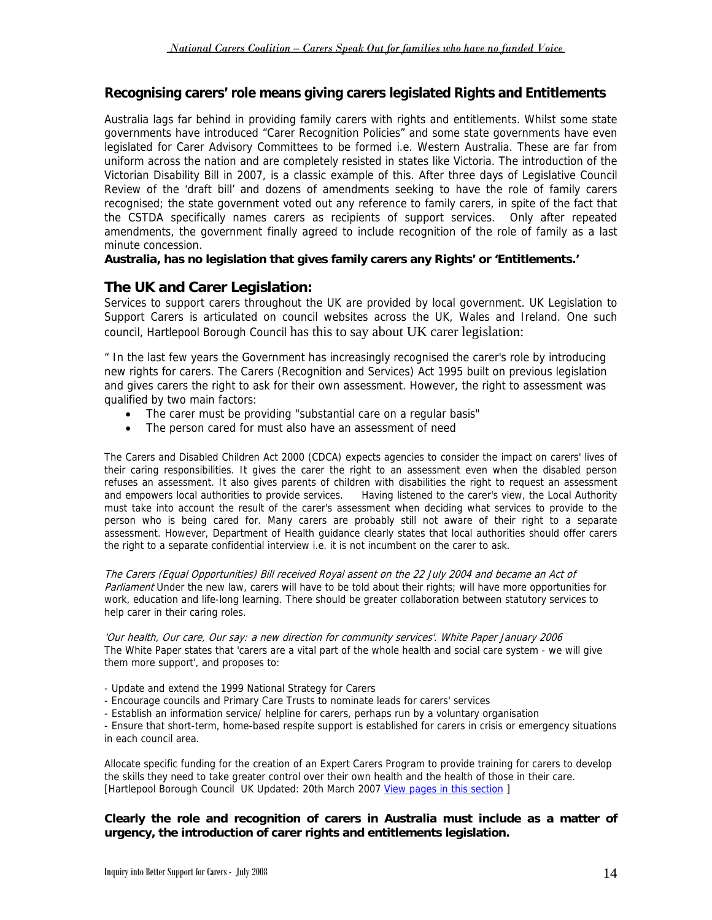### **Recognising carers' role means giving carers legislated Rights and Entitlements**

Australia lags far behind in providing family carers with rights and entitlements. Whilst some state governments have introduced "Carer Recognition Policies" and some state governments have even legislated for Carer Advisory Committees to be formed i.e. Western Australia. These are far from uniform across the nation and are completely resisted in states like Victoria. The introduction of the Victorian Disability Bill in 2007, is a classic example of this. After three days of Legislative Council Review of the 'draft bill' and dozens of amendments seeking to have the role of family carers recognised; the state government voted out any reference to family carers, in spite of the fact that the CSTDA specifically names carers as recipients of support services. Only after repeated amendments, the government finally agreed to include recognition of the role of family as a last minute concession.

### **Australia, has no legislation that gives family carers any Rights' or 'Entitlements.'**

### **The UK and Carer Legislation:**

Services to support carers throughout the UK are provided by local government. UK Legislation to Support Carers is articulated on council websites across the UK, Wales and Ireland. One such council, Hartlepool Borough Council has this to say about UK carer legislation:

" In the last few years the Government has increasingly recognised the carer's role by introducing new rights for carers. The Carers (Recognition and Services) Act 1995 built on previous legislation and gives carers the right to ask for their own assessment. However, the right to assessment was qualified by two main factors:

- The carer must be providing "substantial care on a regular basis"
- The person cared for must also have an assessment of need

The Carers and Disabled Children Act 2000 (CDCA) expects agencies to consider the impact on carers' lives of their caring responsibilities. It gives the carer the right to an assessment even when the disabled person refuses an assessment. It also gives parents of children with disabilities the right to request an assessment and empowers local authorities to provide services. Having listened to the carer's view, the Local Authority must take into account the result of the carer's assessment when deciding what services to provide to the person who is being cared for. Many carers are probably still not aware of their right to a separate assessment. However, Department of Health guidance clearly states that local authorities should offer carers the right to a separate confidential interview i.e. it is not incumbent on the carer to ask.

The Carers (Equal Opportunities) Bill received Royal assent on the 22 July 2004 and became an Act of Parliament Under the new law, carers will have to be told about their rights; will have more opportunities for work, education and life-long learning. There should be greater collaboration between statutory services to help carer in their caring roles.

'Our health, Our care, Our say: a new direction for community services'. White Paper January 2006 The White Paper states that 'carers are a vital part of the whole health and social care system - we will give them more support', and proposes to:

- Update and extend the 1999 National Strategy for Carers
- Encourage councils and Primary Care Trusts to nominate leads for carers' services
- Establish an information service/ helpline for carers, perhaps run by a voluntary organisation

- Ensure that short-term, home-based respite support is established for carers in crisis or emergency situations in each council area.

Allocate specific funding for the creation of an Expert Carers Program to provide training for carers to develop the skills they need to take greater control over their own health and the health of those in their care. [Hartlepool Borough Council UK Updated: 20th March 2007 View pages in this section ]

### **Clearly the role and recognition of carers in Australia must include as a matter of urgency, the introduction of carer rights and entitlements legislation.**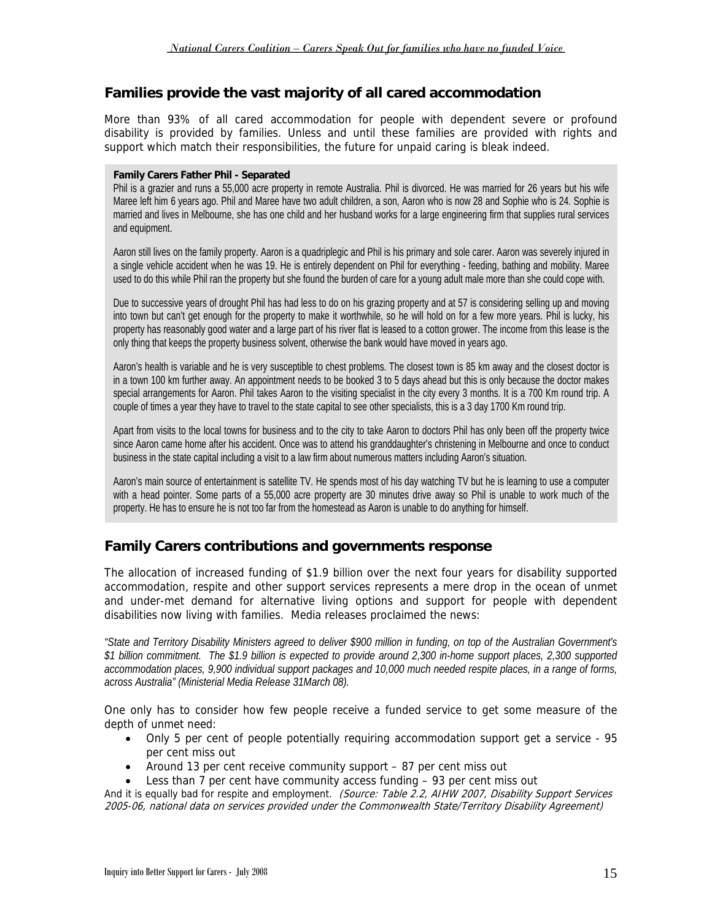### **Families provide the vast majority of all cared accommodation**

More than 93% of all cared accommodation for people with dependent severe or profound disability is provided by families. Unless and until these families are provided with rights and support which match their responsibilities, the future for unpaid caring is bleak indeed.

#### **Family Carers Father Phil - Separated**

Phil is a grazier and runs a 55,000 acre property in remote Australia. Phil is divorced. He was married for 26 years but his wife Maree left him 6 years ago. Phil and Maree have two adult children, a son, Aaron who is now 28 and Sophie who is 24. Sophie is married and lives in Melbourne, she has one child and her husband works for a large engineering firm that supplies rural services and equipment.

Aaron still lives on the family property. Aaron is a quadriplegic and Phil is his primary and sole carer. Aaron was severely injured in a single vehicle accident when he was 19. He is entirely dependent on Phil for everything - feeding, bathing and mobility. Maree used to do this while Phil ran the property but she found the burden of care for a young adult male more than she could cope with.

Due to successive years of drought Phil has had less to do on his grazing property and at 57 is considering selling up and moving into town but can't get enough for the property to make it worthwhile, so he will hold on for a few more years. Phil is lucky, his property has reasonably good water and a large part of his river flat is leased to a cotton grower. The income from this lease is the only thing that keeps the property business solvent, otherwise the bank would have moved in years ago.

Aaron's health is variable and he is very susceptible to chest problems. The closest town is 85 km away and the closest doctor is in a town 100 km further away. An appointment needs to be booked 3 to 5 days ahead but this is only because the doctor makes special arrangements for Aaron. Phil takes Aaron to the visiting specialist in the city every 3 months. It is a 700 Km round trip. A couple of times a year they have to travel to the state capital to see other specialists, this is a 3 day 1700 Km round trip.

Apart from visits to the local towns for business and to the city to take Aaron to doctors Phil has only been off the property twice since Aaron came home after his accident. Once was to attend his granddaughter's christening in Melbourne and once to conduct business in the state capital including a visit to a law firm about numerous matters including Aaron's situation.

Aaron's main source of entertainment is satellite TV. He spends most of his day watching TV but he is learning to use a computer with a head pointer. Some parts of a 55,000 acre property are 30 minutes drive away so Phil is unable to work much of the property. He has to ensure he is not too far from the homestead as Aaron is unable to do anything for himself.

### **Family Carers contributions and governments response**

The allocation of increased funding of \$1.9 billion over the next four years for disability supported accommodation, respite and other support services represents a mere drop in the ocean of unmet and under-met demand for alternative living options and support for people with dependent disabilities now living with families. Media releases proclaimed the news:

*"State and Territory Disability Ministers agreed to deliver \$900 million in funding, on top of the Australian Government's \$1 billion commitment. The \$1.9 billion is expected to provide around 2,300 in-home support places, 2,300 supported accommodation places, 9,900 individual support packages and 10,000 much needed respite places, in a range of forms, across Australia" (Ministerial Media Release 31March 08).* 

One only has to consider how few people receive a funded service to get some measure of the depth of unmet need:

- Only 5 per cent of people potentially requiring accommodation support get a service 95 per cent miss out
- Around 13 per cent receive community support 87 per cent miss out
- Less than 7 per cent have community access funding 93 per cent miss out

And it is equally bad for respite and employment. (Source: Table 2.2, AIHW 2007, Disability Support Services 2005-06, national data on services provided under the Commonwealth State/Territory Disability Agreement)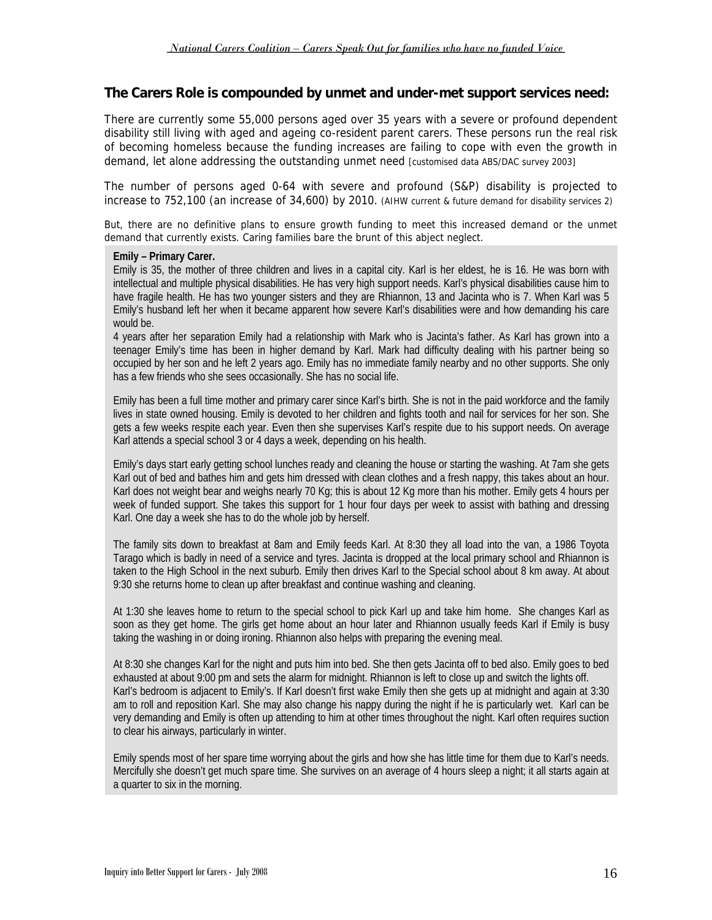### **The Carers Role is compounded by unmet and under-met support services need:**

There are currently some 55,000 persons aged over 35 years with a severe or profound dependent disability still living with aged and ageing co-resident parent carers. These persons run the real risk of becoming homeless because the funding increases are failing to cope with even the growth in demand, let alone addressing the outstanding unmet need [customised data ABS/DAC survey 2003]

The number of persons aged 0-64 with severe and profound (S&P) disability is projected to increase to 752,100 (an increase of 34,600) by 2010. (AIHW current & future demand for disability services 2)

But, there are no definitive plans to ensure growth funding to meet this increased demand or the unmet demand that currently exists. Caring families bare the brunt of this abject neglect.

#### **Emily – Primary Carer.**

Emily is 35, the mother of three children and lives in a capital city. Karl is her eldest, he is 16. He was born with intellectual and multiple physical disabilities. He has very high support needs. Karl's physical disabilities cause him to have fragile health. He has two younger sisters and they are Rhiannon, 13 and Jacinta who is 7. When Karl was 5 Emily's husband left her when it became apparent how severe Karl's disabilities were and how demanding his care would be.

4 years after her separation Emily had a relationship with Mark who is Jacinta's father. As Karl has grown into a teenager Emily's time has been in higher demand by Karl. Mark had difficulty dealing with his partner being so occupied by her son and he left 2 years ago. Emily has no immediate family nearby and no other supports. She only has a few friends who she sees occasionally. She has no social life.

Emily has been a full time mother and primary carer since Karl's birth. She is not in the paid workforce and the family lives in state owned housing. Emily is devoted to her children and fights tooth and nail for services for her son. She gets a few weeks respite each year. Even then she supervises Karl's respite due to his support needs. On average Karl attends a special school 3 or 4 days a week, depending on his health.

Emily's days start early getting school lunches ready and cleaning the house or starting the washing. At 7am she gets Karl out of bed and bathes him and gets him dressed with clean clothes and a fresh nappy, this takes about an hour. Karl does not weight bear and weighs nearly 70 Kg; this is about 12 Kg more than his mother. Emily gets 4 hours per week of funded support. She takes this support for 1 hour four days per week to assist with bathing and dressing Karl. One day a week she has to do the whole job by herself.

The family sits down to breakfast at 8am and Emily feeds Karl. At 8:30 they all load into the van, a 1986 Toyota Tarago which is badly in need of a service and tyres. Jacinta is dropped at the local primary school and Rhiannon is taken to the High School in the next suburb. Emily then drives Karl to the Special school about 8 km away. At about 9:30 she returns home to clean up after breakfast and continue washing and cleaning.

At 1:30 she leaves home to return to the special school to pick Karl up and take him home. She changes Karl as soon as they get home. The girls get home about an hour later and Rhiannon usually feeds Karl if Emily is busy taking the washing in or doing ironing. Rhiannon also helps with preparing the evening meal.

At 8:30 she changes Karl for the night and puts him into bed. She then gets Jacinta off to bed also. Emily goes to bed exhausted at about 9:00 pm and sets the alarm for midnight. Rhiannon is left to close up and switch the lights off. Karl's bedroom is adjacent to Emily's. If Karl doesn't first wake Emily then she gets up at midnight and again at 3:30 am to roll and reposition Karl. She may also change his nappy during the night if he is particularly wet. Karl can be very demanding and Emily is often up attending to him at other times throughout the night. Karl often requires suction to clear his airways, particularly in winter.

Emily spends most of her spare time worrying about the girls and how she has little time for them due to Karl's needs. Mercifully she doesn't get much spare time. She survives on an average of 4 hours sleep a night; it all starts again at a quarter to six in the morning.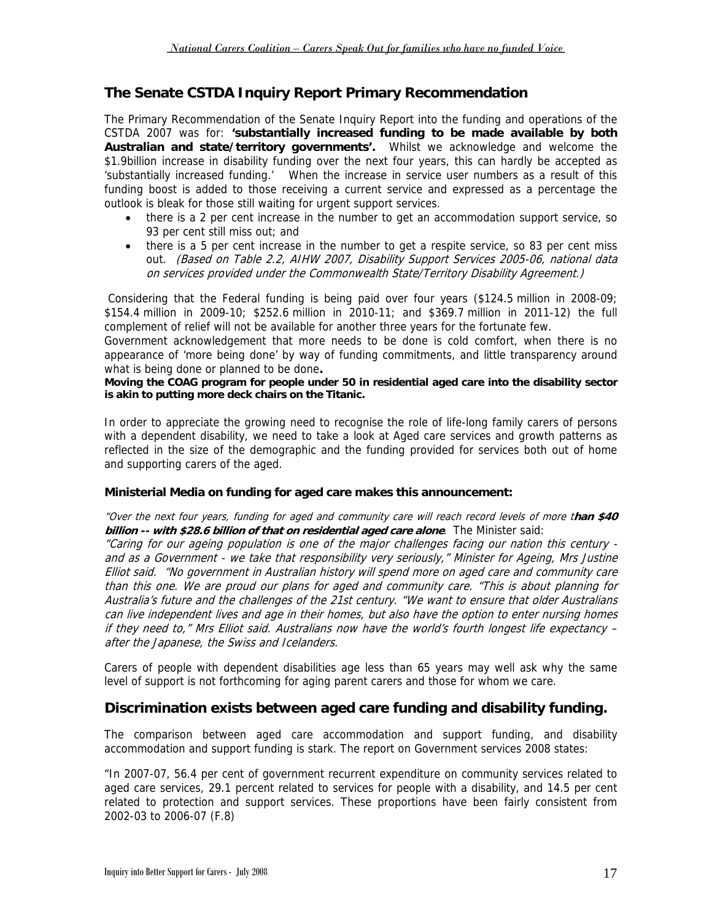### **The Senate CSTDA Inquiry Report Primary Recommendation**

The Primary Recommendation of the Senate Inquiry Report into the funding and operations of the CSTDA 2007 was for: **'substantially increased funding to be made available by both Australian and state/territory governments'.** Whilst we acknowledge and welcome the \$1.9billion increase in disability funding over the next four years, this can hardly be accepted as 'substantially increased funding.' When the increase in service user numbers as a result of this funding boost is added to those receiving a current service and expressed as a percentage the outlook is bleak for those still waiting for urgent support services.

- there is a 2 per cent increase in the number to get an accommodation support service, so 93 per cent still miss out; and
- there is a 5 per cent increase in the number to get a respite service, so 83 per cent miss out. *(Based on Table 2.2, AIHW 2007, Disability Support Services 2005-06, national data* on services provided under the Commonwealth State/Territory Disability Agreement.)

Considering that the Federal funding is being paid over four years (\$124.5 million in 2008-09; \$154.4 million in 2009-10; \$252.6 million in 2010-11; and \$369.7 million in 2011-12) the full complement of relief will not be available for another three years for the fortunate few.

Government acknowledgement that more needs to be done is cold comfort, when there is no appearance of 'more being done' by way of funding commitments, and little transparency around what is being done or planned to be done**.** 

**Moving the COAG program for people under 50 in residential aged care into the disability sector is akin to putting more deck chairs on the Titanic.** 

In order to appreciate the growing need to recognise the role of life-long family carers of persons with a dependent disability, we need to take a look at Aged care services and growth patterns as reflected in the size of the demographic and the funding provided for services both out of home and supporting carers of the aged.

### **Ministerial Media on funding for aged care makes this announcement:**

**. billion -- with \$28 <sup>6</sup> billion of that on residential aged care alone**. The Minister said: "Over the next four years, funding for aged and community care will reach record levels of more t**han \$40** 

 . than this one We are proud our plans for aged and community care. "This is about planning for Australia's future and the challenges of the 21st century. "We want to ensure that older Australians "Caring for our ageing population is one of the major challenges facing our nation this century and as a Government - we take that responsibility very seriously," Minister for Ageing, Mrs Justine Elliot said. "No government in Australian history will spend more on aged care and community care can live independent lives and age in their homes, but also have the option to enter nursing homes if they need to," Mrs Elliot said. Australians now have the world's fourth longest life expectancy – after the Japanese, the Swiss and Icelanders.

Carers of people with dependent disabilities age less than 65 years may well ask why the same level of support is not forthcoming for aging parent carers and those for whom we care.

### **Discrimination exists between aged care funding and disability funding.**

The comparison between aged care accommodation and support funding, and disability accommodation and support funding is stark. The report on Government services 2008 states:

"In 2007-07, 56.4 per cent of government recurrent expenditure on community services related to aged care services, 29.1 percent related to services for people with a disability, and 14.5 per cent related to protection and support services. These proportions have been fairly consistent from 2002-03 to 2006-07 (F.8)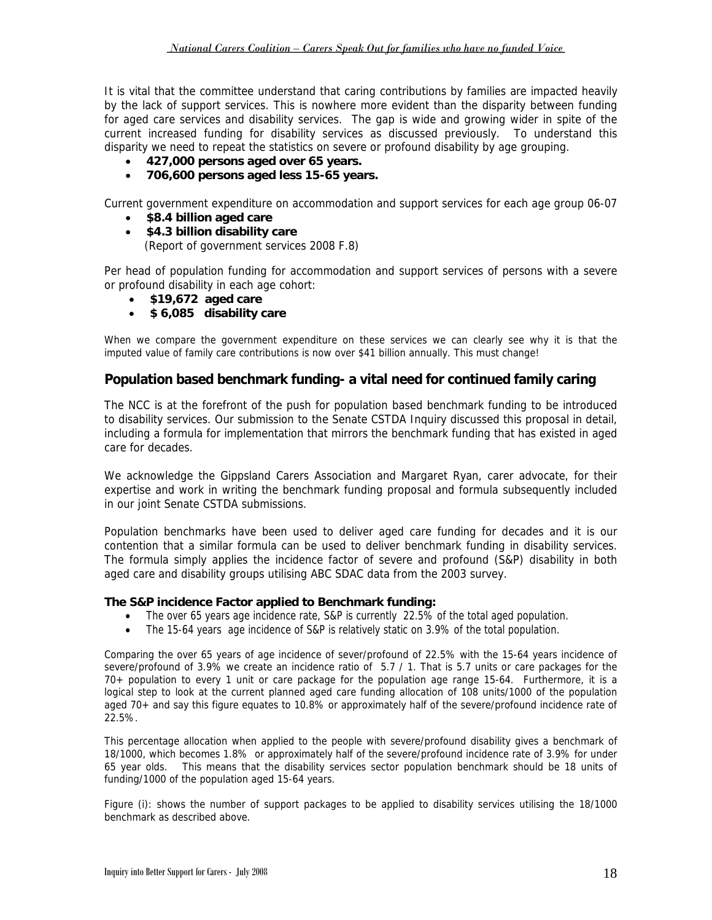It is vital that the committee understand that caring contributions by families are impacted heavily by the lack of support services. This is nowhere more evident than the disparity between funding for aged care services and disability services. The gap is wide and growing wider in spite of the current increased funding for disability services as discussed previously. To understand this disparity we need to repeat the statistics on severe or profound disability by age grouping.

- **427,000 persons aged over 65 years.**
- **706,600 persons aged less 15-65 years.**

Current government expenditure on accommodation and support services for each age group 06-07

- **\$8.4 billion aged care**
- **\$4.3 billion disability care**  (Report of government services 2008 F.8)

Per head of population funding for accommodation and support services of persons with a severe or profound disability in each age cohort:

- **\$19,672 aged care**
- **\$ 6,085 disability care**

When we compare the government expenditure on these services we can clearly see why it is that the imputed value of family care contributions is now over \$41 billion annually. This must change!

### **Population based benchmark funding- a vital need for continued family caring**

The NCC is at the forefront of the push for population based benchmark funding to be introduced to disability services. Our submission to the Senate CSTDA Inquiry discussed this proposal in detail, including a formula for implementation that mirrors the benchmark funding that has existed in aged care for decades.

We acknowledge the Gippsland Carers Association and Margaret Ryan, carer advocate, for their expertise and work in writing the benchmark funding proposal and formula subsequently included in our joint Senate CSTDA submissions.

Population benchmarks have been used to deliver aged care funding for decades and it is our contention that a similar formula can be used to deliver benchmark funding in disability services. The formula simply applies the incidence factor of severe and profound (S&P) disability in both aged care and disability groups utilising ABC SDAC data from the 2003 survey.

#### **The S&P incidence Factor applied to Benchmark funding:**

- The over 65 years age incidence rate, S&P is currently 22.5% of the total aged population.
- The 15-64 years age incidence of S&P is relatively static on 3.9% of the total population.

Comparing the over 65 years of age incidence of sever/profound of 22.5% with the 15-64 years incidence of severe/profound of 3.9% we create an incidence ratio of 5.7 / 1. That is 5.7 units or care packages for the 70+ population to every 1 unit or care package for the population age range 15-64. Furthermore, it is a logical step to look at the current planned aged care funding allocation of 108 units/1000 of the population aged 70+ and say this figure equates to 10.8% or approximately half of the severe/profound incidence rate of 22.5%.

This percentage allocation when applied to the people with severe/profound disability gives a benchmark of 18/1000, which becomes 1.8% or approximately half of the severe/profound incidence rate of 3.9% for under 65 year olds. This means that the disability services sector population benchmark should be 18 units of funding/1000 of the population aged 15-64 years.

Figure (i): shows the number of support packages to be applied to disability services utilising the 18/1000 benchmark as described above.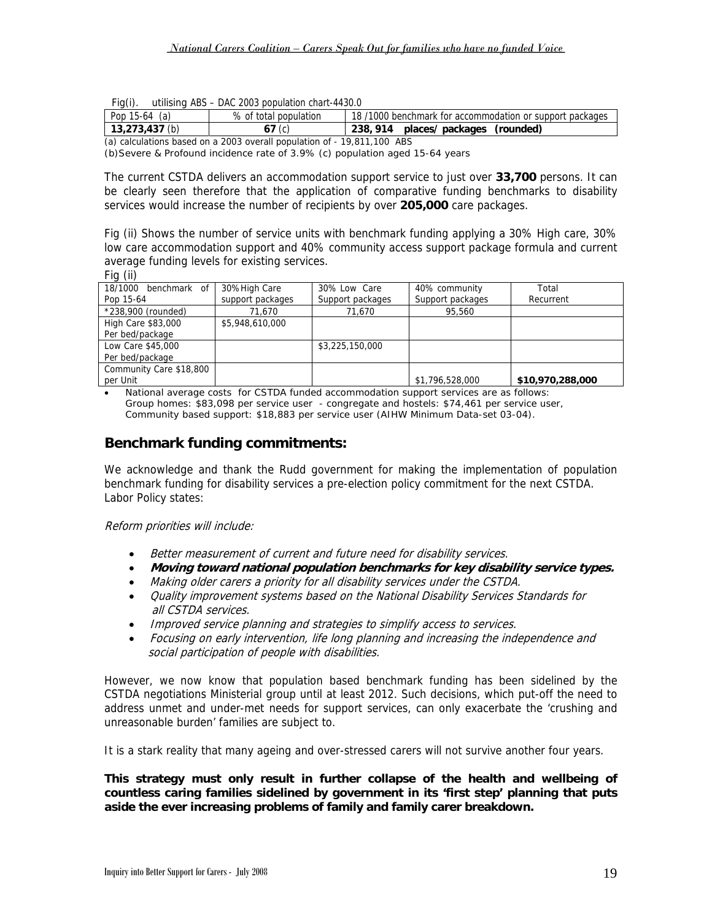| Fig(i). | utilising ABS - DAC 2003 population chart-4430.0 |  |  |
|---------|--------------------------------------------------|--|--|
|         |                                                  |  |  |

|                  | <b>PITO LOUD NUMMIDIT UNUI I TUUTU</b>                                  |                                                         |  |  |  |
|------------------|-------------------------------------------------------------------------|---------------------------------------------------------|--|--|--|
| Pop $15-64$ (a)  | % of total population                                                   | 18/1000 benchmark for accommodation or support packages |  |  |  |
| $13,273,437$ (b) | 67 (c)                                                                  | 238, 914 places/packages (rounded)                      |  |  |  |
|                  | (a) calculations based on a 2003 overall population of - 19,811,100 ABS |                                                         |  |  |  |

(b)Severe & Profound incidence rate of 3.9% (c) population aged 15-64 years

The current CSTDA delivers an accommodation support service to just over **33,700** persons. It can be clearly seen therefore that the application of comparative funding benchmarks to disability services would increase the number of recipients by over **205,000** care packages.

Fig (ii) Shows the number of service units with benchmark funding applying a 30% High care, 30% low care accommodation support and 40% community access support package formula and current average funding levels for existing services.

| $\cdot$ $\cdot$ $\cdot$<br>18/1000<br>benchmark of | 30%High Care     | 30% Low Care     | 40% community    | Total            |
|----------------------------------------------------|------------------|------------------|------------------|------------------|
| Pop 15-64                                          | support packages | Support packages | Support packages | Recurrent        |
| *238,900 (rounded)                                 | 71.670           | 71.670           | 95,560           |                  |
| High Care \$83,000                                 | \$5,948,610,000  |                  |                  |                  |
| Per bed/package                                    |                  |                  |                  |                  |
| Low Care \$45,000                                  |                  | \$3,225,150,000  |                  |                  |
| Per bed/package                                    |                  |                  |                  |                  |
| Community Care \$18,800                            |                  |                  |                  |                  |
| per Unit                                           |                  |                  | \$1,796,528,000  | \$10,970,288,000 |

National average costs for CSTDA funded accommodation support services are as follows: Group homes: \$83,098 per service user - congregate and hostels: \$74,461 per service user, Community based support: \$18,883 per service user (AIHW Minimum Data-set 03-04).

### **Benchmark funding commitments:**

We acknowledge and thank the Rudd government for making the implementation of population benchmark funding for disability services a pre-election policy commitment for the next CSTDA. Labor Policy states:

Reform priorities will include:

- Better measurement of current and future need for disability services.
- **Moving toward national population benchmarks for key disability service types.**
- Making older carers a priority for all disability services under the CSTDA.
- Quality improvement systems based on the National Disability Services Standards for all CSTDA services.
- Improved service planning and strategies to simplify access to services.
- Focusing on early intervention, life long planning and increasing the independence and social participation of people with disabilities.

However, we now know that population based benchmark funding has been sidelined by the CSTDA negotiations Ministerial group until at least 2012. Such decisions, which put-off the need to address unmet and under-met needs for support services, can only exacerbate the 'crushing and unreasonable burden' families are subject to.

It is a stark reality that many ageing and over-stressed carers will not survive another four years.

**This strategy must only result in further collapse of the health and wellbeing of countless caring families sidelined by government in its 'first step' planning that puts aside the ever increasing problems of family and family carer breakdown.**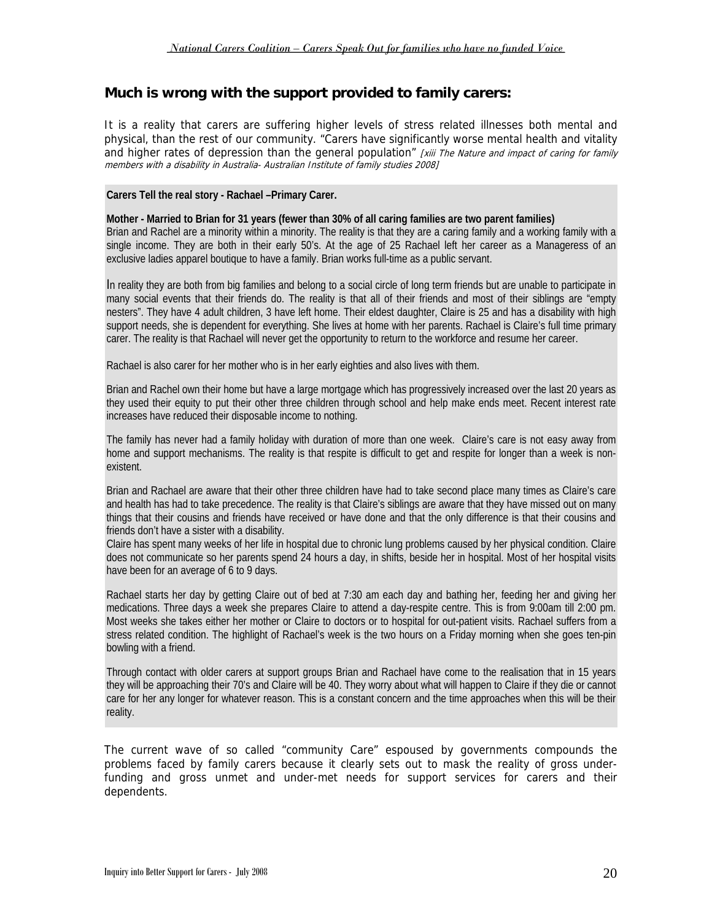### **Much is wrong with the support provided to family carers:**

It is a reality that carers are suffering higher levels of stress related illnesses both mental and physical, than the rest of our community. "Carers have significantly worse mental health and vitality and higher rates of depression than the general population" [xiii The Nature and impact of caring for family members with a disability in Australia- Australian Institute of family studies 2008]

#### **Carers Tell the real story - Rachael –Primary Carer.**

**Mother - Married to Brian for 31 years (fewer than 30% of all caring families are two parent families)**  Brian and Rachel are a minority within a minority. The reality is that they are a caring family and a working family with a single income. They are both in their early 50's. At the age of 25 Rachael left her career as a Manageress of an exclusive ladies apparel boutique to have a family. Brian works full-time as a public servant.

In reality they are both from big families and belong to a social circle of long term friends but are unable to participate in many social events that their friends do. The reality is that all of their friends and most of their siblings are "empty nesters". They have 4 adult children, 3 have left home. Their eldest daughter, Claire is 25 and has a disability with high support needs, she is dependent for everything. She lives at home with her parents. Rachael is Claire's full time primary carer. The reality is that Rachael will never get the opportunity to return to the workforce and resume her career.

Rachael is also carer for her mother who is in her early eighties and also lives with them.

Brian and Rachel own their home but have a large mortgage which has progressively increased over the last 20 years as they used their equity to put their other three children through school and help make ends meet. Recent interest rate increases have reduced their disposable income to nothing.

The family has never had a family holiday with duration of more than one week. Claire's care is not easy away from home and support mechanisms. The reality is that respite is difficult to get and respite for longer than a week is nonexistent.

Brian and Rachael are aware that their other three children have had to take second place many times as Claire's care and health has had to take precedence. The reality is that Claire's siblings are aware that they have missed out on many things that their cousins and friends have received or have done and that the only difference is that their cousins and friends don't have a sister with a disability.

Claire has spent many weeks of her life in hospital due to chronic lung problems caused by her physical condition. Claire does not communicate so her parents spend 24 hours a day, in shifts, beside her in hospital. Most of her hospital visits have been for an average of 6 to 9 days.

Rachael starts her day by getting Claire out of bed at 7:30 am each day and bathing her, feeding her and giving her medications. Three days a week she prepares Claire to attend a day-respite centre. This is from 9:00am till 2:00 pm. Most weeks she takes either her mother or Claire to doctors or to hospital for out-patient visits. Rachael suffers from a stress related condition. The highlight of Rachael's week is the two hours on a Friday morning when she goes ten-pin bowling with a friend.

Through contact with older carers at support groups Brian and Rachael have come to the realisation that in 15 years they will be approaching their 70's and Claire will be 40. They worry about what will happen to Claire if they die or cannot care for her any longer for whatever reason. This is a constant concern and the time approaches when this will be their reality.

The current wave of so called "community Care" espoused by governments compounds the problems faced by family carers because it clearly sets out to mask the reality of gross underfunding and gross unmet and under-met needs for support services for carers and their dependents.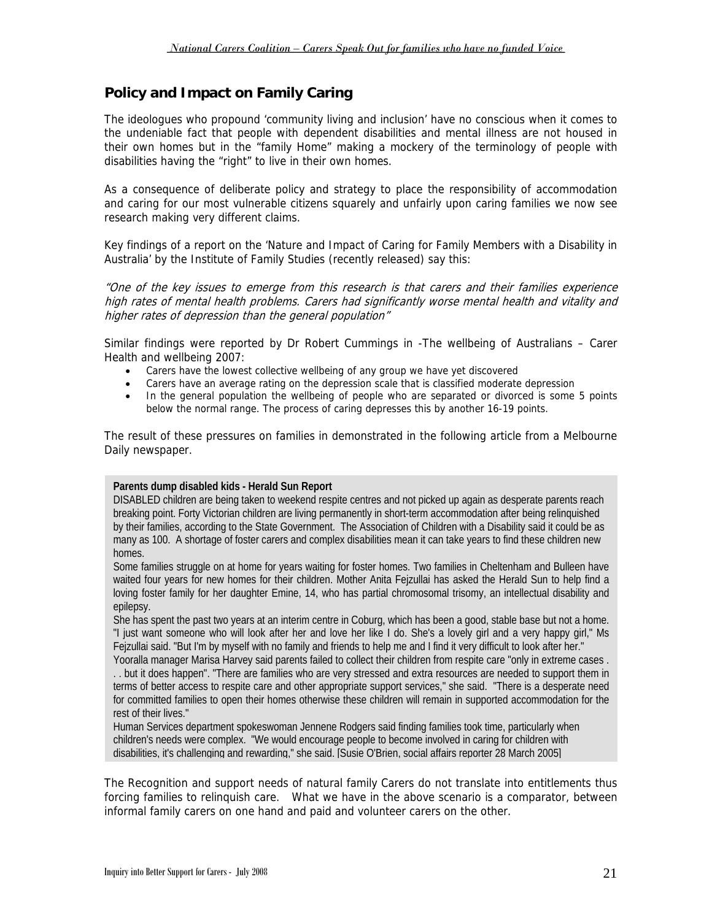### **Policy and Impact on Family Caring**

The ideologues who propound 'community living and inclusion' have no conscious when it comes to the undeniable fact that people with dependent disabilities and mental illness are not housed in their own homes but in the "family Home" making a mockery of the terminology of people with disabilities having the "right" to live in their own homes.

As a consequence of deliberate policy and strategy to place the responsibility of accommodation and caring for our most vulnerable citizens squarely and unfairly upon caring families we now see research making very different claims.

Key findings of a report on the 'Nature and Impact of Caring for Family Members with a Disability in Australia' by the Institute of Family Studies (recently released) say this:

"One of the key issues to emerge from this research is that carers and their families experience high rates of mental health problems. Carers had significantly worse mental health and vitality and higher rates of depression than the general population"

Similar findings were reported by Dr Robert Cummings in -The wellbeing of Australians – Carer Health and wellbeing 2007:

- Carers have the lowest collective wellbeing of any group we have yet discovered
- Carers have an average rating on the depression scale that is classified moderate depression
- In the general population the wellbeing of people who are separated or divorced is some 5 points below the normal range. The process of caring depresses this by another 16-19 points.

The result of these pressures on families in demonstrated in the following article from a Melbourne Daily newspaper.

### **Parents dump disabled kids - Herald Sun Report**

DISABLED children are being taken to weekend respite centres and not picked up again as desperate parents reach breaking point. Forty Victorian children are living permanently in short-term accommodation after being relinquished by their families, according to the State Government. The Association of Children with a Disability said it could be as many as 100. A shortage of foster carers and complex disabilities mean it can take years to find these children new homes.

Some families struggle on at home for years waiting for foster homes. Two families in Cheltenham and Bulleen have waited four years for new homes for their children. Mother Anita Fejzullai has asked the Herald Sun to help find a loving foster family for her daughter Emine, 14, who has partial chromosomal trisomy, an intellectual disability and epilepsy.

She has spent the past two years at an interim centre in Coburg, which has been a good, stable base but not a home. "I just want someone who will look after her and love her like I do. She's a lovely girl and a very happy girl," Ms Fejzullai said. "But I'm by myself with no family and friends to help me and I find it very difficult to look after her."

Yooralla manager Marisa Harvey said parents failed to collect their children from respite care "only in extreme cases. . . but it does happen". "There are families who are very stressed and extra resources are needed to support them in terms of better access to respite care and other appropriate support services," she said. "There is a desperate need for committed families to open their homes otherwise these children will remain in supported accommodation for the rest of their lives."

Human Services department spokeswoman Jennene Rodgers said finding families took time, particularly when children's needs were complex. "We would encourage people to become involved in caring for children with disabilities, it's challenging and rewarding," she said. [Susie O'Brien, social affairs reporter 28 March 2005]

The Recognition and support needs of natural family Carers do not translate into entitlements thus forcing families to relinquish care. What we have in the above scenario is a comparator, between informal family carers on one hand and paid and volunteer carers on the other.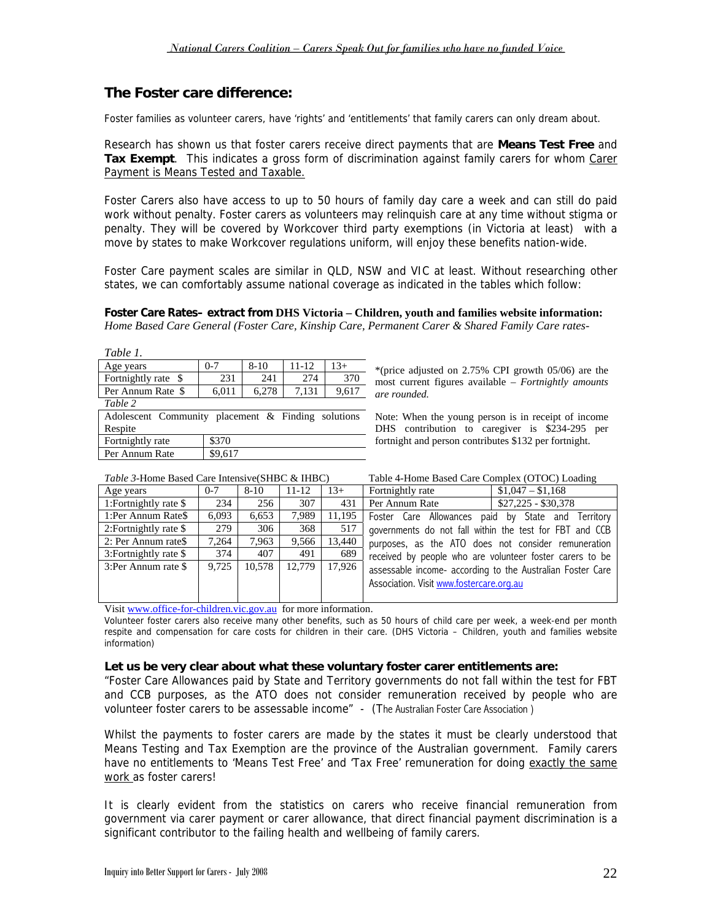### **The Foster care difference:**

Foster families as volunteer carers, have 'rights' and 'entitlements' that family carers can only dream about.

Research has shown us that foster carers receive direct payments that are **Means Test Free** and **Tax Exempt**. This indicates a gross form of discrimination against family carers for whom Carer Payment is Means Tested and Taxable.

Foster Carers also have access to up to 50 hours of family day care a week and can still do paid work without penalty. Foster carers as volunteers may relinquish care at any time without stigma or penalty. They will be covered by Workcover third party exemptions (in Victoria at least) with a move by states to make Workcover regulations uniform, will enjoy these benefits nation-wide.

Foster Care payment scales are similar in QLD, NSW and VIC at least. Without researching other states, we can comfortably assume national coverage as indicated in the tables which follow:

### **Foster Care Rates– extract from DHS Victoria – Children, youth and families website information:**

*Home Based Care General (Foster Care, Kinship Care, Permanent Carer & Shared Family Care rates-*

*Table 1.* 

| Age years                                                     | $0 - 7$ | $8-10$ | $11 - 12$ | $13+$ |  |  |
|---------------------------------------------------------------|---------|--------|-----------|-------|--|--|
| Fortnightly rate \$                                           | 231     | 241    | 274       | 370   |  |  |
| Per Annum Rate \$                                             | 6,011   | 6,278  | 7,131     | 9,617 |  |  |
| Table 2                                                       |         |        |           |       |  |  |
| Adolescent Community placement & Finding solutions<br>Respite |         |        |           |       |  |  |
| Fortnightly rate                                              | \$370   |        |           |       |  |  |
| Per Annum Rate                                                | \$9,617 |        |           |       |  |  |

\*(price adjusted on 2.75% CPI growth 05/06) are the most current figures available – *Fortnightly amounts are rounded.* 

Note: When the young person is in receipt of income DHS contribution to caregiver is \$234-295 per fortnight and person contributes \$132 per fortnight.

#### *Table 3*-Home Based Care Intensive(SHBC & IHBC) Table 4-Home Based Care Complex (OTOC) Loading

Age years 0-7 8-10 11-12 13+ Fortnightly rate \$1,047 – \$1,168 1:Fortnightly rate \$ 234 256 307 431 Per Annum Rate \$27,225 - \$30,378 1:Per Annum Rate \$ 6,093 6,653 7,989 11,195 2:Fortnightly rate \$ 279 306 368 517 2: Per Annum rate \$7,264 7,963 9,566 13,440 3:Fortnightly rate \$ 374 407 491 689<br>3:Per Annum rate \$ 9,725 10,578 12,779 17,926 3:Per Annum rate \$ 9,725 10,578 12,779 17,926 Foster Care Allowances paid by State and Territory governments do not fall within the test for FBT and CCB purposes, as the ATO does not consider remuneration received by people who are volunteer foster carers to be assessable income- according to the Australian Foster Care Association. Visit [www.fostercare.org.au](http://www.fostercare.org.au/) 

Visit [www.office-for-children.vic.gov.au](http://www.office-for-children.vic.gov.au/) for more information.

Volunteer foster carers also receive many other benefits, such as 50 hours of child care per week, a week-end per month respite and compensation for care costs for children in their care. (DHS Victoria – Children, youth and families website information)

#### **Let us be very clear about what these voluntary foster carer entitlements are:**

"Foster Care Allowances paid by State and Territory governments do not fall within the test for FBT and CCB purposes, as the ATO does not consider remuneration received by people who are volunteer foster carers to be assessable income" - (The Australian Foster Care Association)

Whilst the payments to foster carers are made by the states it must be clearly understood that Means Testing and Tax Exemption are the province of the Australian government. Family carers have no entitlements to 'Means Test Free' and 'Tax Free' remuneration for doing exactly the same work as foster carers!

It is clearly evident from the statistics on carers who receive financial remuneration from government via carer payment or carer allowance, that direct financial payment discrimination is a significant contributor to the failing health and wellbeing of family carers.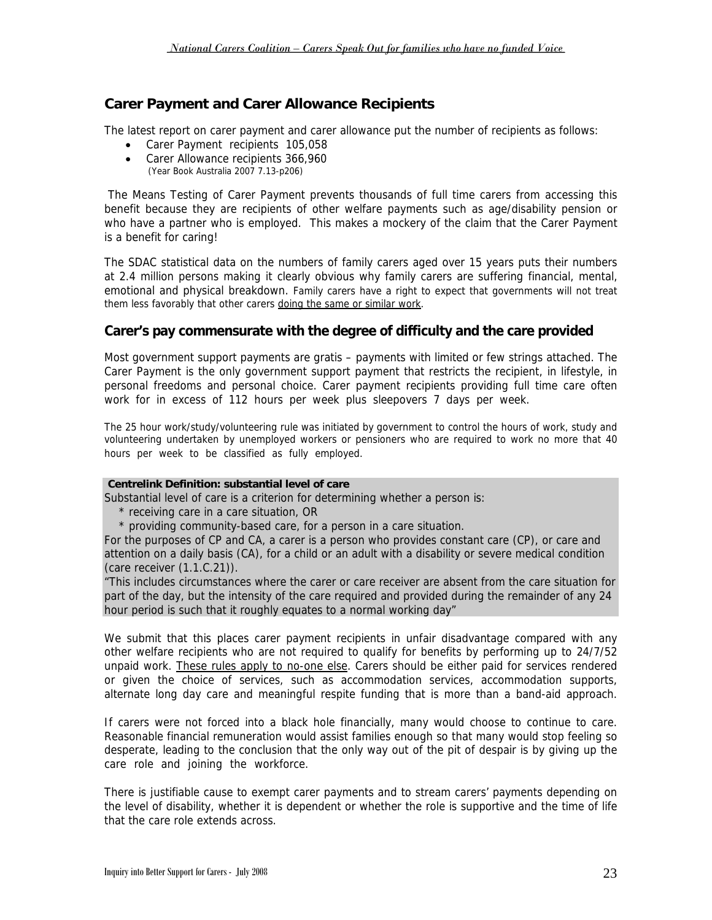### **Carer Payment and Carer Allowance Recipients**

The latest report on carer payment and carer allowance put the number of recipients as follows:

- Carer Payment recipients 105,058
- Carer Allowance recipients 366,960 (Year Book Australia 2007 7.13-p206)

 The Means Testing of Carer Payment prevents thousands of full time carers from accessing this benefit because they are recipients of other welfare payments such as age/disability pension or who have a partner who is employed. This makes a mockery of the claim that the Carer Payment is a benefit for caring!

The SDAC statistical data on the numbers of family carers aged over 15 years puts their numbers at 2.4 million persons making it clearly obvious why family carers are suffering financial, mental, emotional and physical breakdown. Family carers have a right to expect that governments will not treat them less favorably that other carers doing the same or similar work.

### **Carer's pay commensurate with the degree of difficulty and the care provided**

Most government support payments are gratis – payments with limited or few strings attached. The Carer Payment is the only government support payment that restricts the recipient, in lifestyle, in personal freedoms and personal choice. Carer payment recipients providing full time care often work for in excess of 112 hours per week plus sleepovers 7 days per week. .

The 25 hour work/study/volunteering rule was initiated by government to control the hours of work, study and volunteering undertaken by unemployed workers or pensioners who are required to work no more that 40 hours per week to be classified as fully employed.

#### **Centrelink Definition: substantial level of care**

Substantial level of care is a criterion for determining whether a person is:

- \* receiving care in a care situation, OR
- \* providing community-based care, for a person in a care situation.

For the purposes of CP and CA, a carer is a person who provides constant care (CP), or care and attention on a daily basis (CA), for a child or an adult with a disability or severe medical condition (care receiver (1.1.C.21)).

"This includes circumstances where the carer or care receiver are absent from the care situation for part of the day, but the intensity of the care required and provided during the remainder of any 24 hour period is such that it roughly equates to a normal working day"

We submit that this places carer payment recipients in unfair disadvantage compared with any other welfare recipients who are not required to qualify for benefits by performing up to 24/7/52 unpaid work. These rules apply to no-one else. Carers should be either paid for services rendered or given the choice of services, such as accommodation services, accommodation supports, alternate long day care and meaningful respite funding that is more than a band-aid approach.

If carers were not forced into a black hole financially, many would choose to continue to care. Reasonable financial remuneration would assist families enough so that many would stop feeling so desperate, leading to the conclusion that the only way out of the pit of despair is by giving up the care role and joining the workforce.

There is justifiable cause to exempt carer payments and to stream carers' payments depending on the level of disability, whether it is dependent or whether the role is supportive and the time of life that the care role extends across.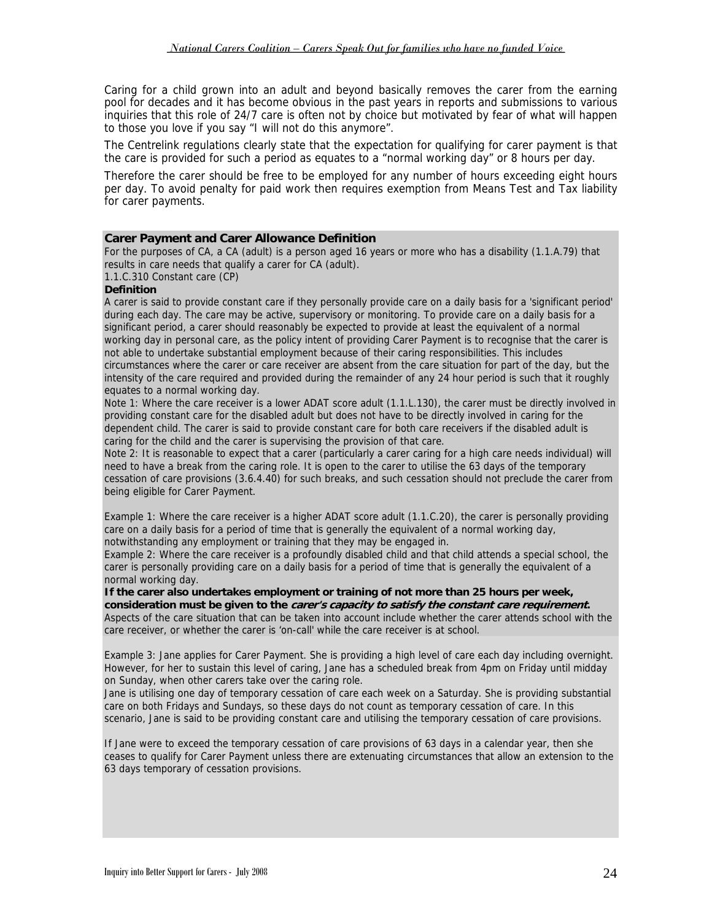Caring for a child grown into an adult and beyond basically removes the carer from the earning pool for decades and it has become obvious in the past years in reports and submissions to various inquiries that this role of 24/7 care is often not by choice but motivated by fear of what will happen to those you love if you say "I will not do this anymore".

The Centrelink regulations clearly state that the expectation for qualifying for carer payment is that the care is provided for such a period as equates to a "normal working day" or 8 hours per day.

Therefore the carer should be free to be employed for any number of hours exceeding eight hours per day. To avoid penalty for paid work then requires exemption from Means Test and Tax liability for carer payments.

#### **Carer Payment and Carer Allowance Definition**

For the purposes of CA, a CA (adult) is a person aged 16 years or more who has a disability (1.1.A.79) that results in care needs that qualify a carer for CA (adult).

1.1.C.310 Constant care (CP)

#### **Definition**

A carer is said to provide constant care if they personally provide care on a daily basis for a 'significant period' during each day. The care may be active, supervisory or monitoring. To provide care on a daily basis for a significant period, a carer should reasonably be expected to provide at least the equivalent of a normal working day in personal care, as the policy intent of providing Carer Payment is to recognise that the carer is not able to undertake substantial employment because of their caring responsibilities. This includes circumstances where the carer or care receiver are absent from the care situation for part of the day, but the intensity of the care required and provided during the remainder of any 24 hour period is such that it roughly equates to a normal working day.

Note 1: Where the care receiver is a lower ADAT score adult (1.1.L.130), the carer must be directly involved in providing constant care for the disabled adult but does not have to be directly involved in caring for the dependent child. The carer is said to provide constant care for both care receivers if the disabled adult is caring for the child and the carer is supervising the provision of that care.

Note 2: It is reasonable to expect that a carer (particularly a carer caring for a high care needs individual) will need to have a break from the caring role. It is open to the carer to utilise the 63 days of the temporary cessation of care provisions (3.6.4.40) for such breaks, and such cessation should not preclude the carer from being eligible for Carer Payment.

Example 1: Where the care receiver is a higher ADAT score adult (1.1.C.20), the carer is personally providing care on a daily basis for a period of time that is generally the equivalent of a normal working day, notwithstanding any employment or training that they may be engaged in.

Example 2: Where the care receiver is a profoundly disabled child and that child attends a special school, the carer is personally providing care on a daily basis for a period of time that is generally the equivalent of a normal working day.

#### **If the carer also undertakes employment or training of not more than 25 hours per week, consideration must be given to the carer's capacity to satisfy the constant care requirement.**  Aspects of the care situation that can be taken into account include whether the carer attends school with the care receiver, or whether the carer is 'on-call' while the care receiver is at school.

Example 3: Jane applies for Carer Payment. She is providing a high level of care each day including overnight. However, for her to sustain this level of caring, Jane has a scheduled break from 4pm on Friday until midday on Sunday, when other carers take over the caring role.

Jane is utilising one day of temporary cessation of care each week on a Saturday. She is providing substantial care on both Fridays and Sundays, so these days do not count as temporary cessation of care. In this scenario, Jane is said to be providing constant care and utilising the temporary cessation of care provisions.

If Jane were to exceed the temporary cessation of care provisions of 63 days in a calendar year, then she ceases to qualify for Carer Payment unless there are extenuating circumstances that allow an extension to the 63 days temporary of cessation provisions.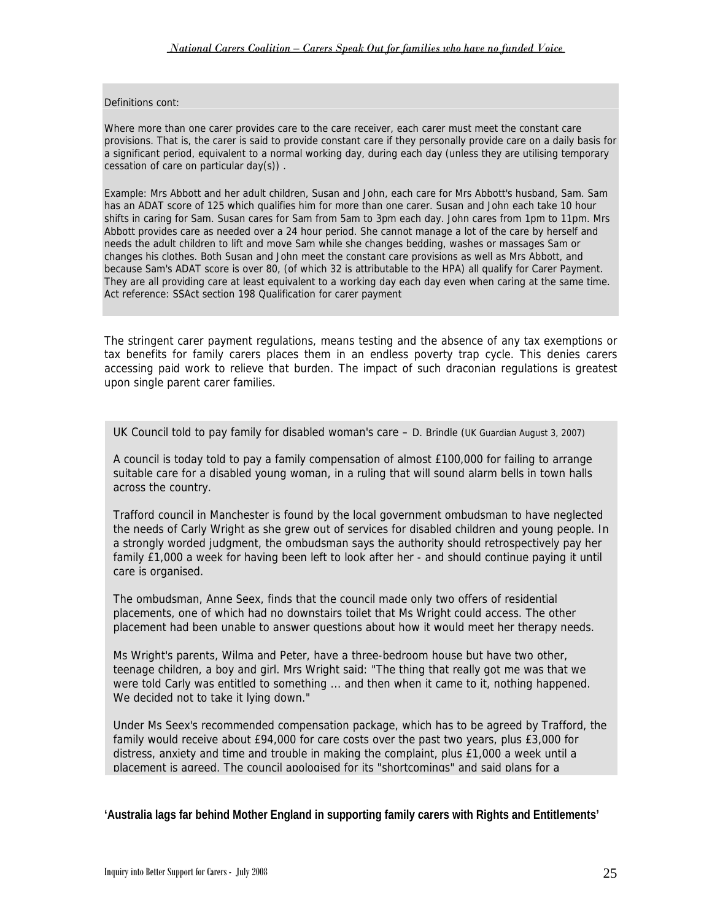#### Definitions cont:

Where more than one carer provides care to the care receiver, each carer must meet the constant care provisions. That is, the carer is said to provide constant care if they personally provide care on a daily basis for a significant period, equivalent to a normal working day, during each day (unless they are utilising temporary cessation of care on particular day(s)) .

Example: Mrs Abbott and her adult children, Susan and John, each care for Mrs Abbott's husband, Sam. Sam has an ADAT score of 125 which qualifies him for more than one carer. Susan and John each take 10 hour shifts in caring for Sam. Susan cares for Sam from 5am to 3pm each day. John cares from 1pm to 11pm. Mrs Abbott provides care as needed over a 24 hour period. She cannot manage a lot of the care by herself and needs the adult children to lift and move Sam while she changes bedding, washes or massages Sam or changes his clothes. Both Susan and John meet the constant care provisions as well as Mrs Abbott, and because Sam's ADAT score is over 80, (of which 32 is attributable to the HPA) all qualify for Carer Payment. They are all providing care at least equivalent to a working day each day even when caring at the same time. Act reference: SSAct section 198 Qualification for carer payment

The stringent carer payment regulations, means testing and the absence of any tax exemptions or tax benefits for family carers places them in an endless poverty trap cycle. This denies carers accessing paid work to relieve that burden. The impact of such draconian regulations is greatest upon single parent carer families.

UK Council told to pay family for disabled woman's care – D. Brindle (UK Guardian August 3, 2007)

A council is today told to pay a family compensation of almost £100,000 for failing to arrange suitable care for a disabled young woman, in a ruling that will sound alarm bells in town halls across the country.

Trafford council in Manchester is found by the local government ombudsman to have neglected the needs of Carly Wright as she grew out of services for disabled children and young people. In a strongly worded judgment, the ombudsman says the authority should retrospectively pay her family £1,000 a week for having been left to look after her - and should continue paying it until care is organised.

The ombudsman, Anne Seex, finds that the council made only two offers of residential placements, one of which had no downstairs toilet that Ms Wright could access. The other placement had been unable to answer questions about how it would meet her therapy needs.

Ms Wright's parents, Wilma and Peter, have a three-bedroom house but have two other, teenage children, a boy and girl. Mrs Wright said: "The thing that really got me was that we were told Carly was entitled to something ... and then when it came to it, nothing happened. We decided not to take it lying down."

Under Ms Seex's recommended compensation package, which has to be agreed by Trafford, the family would receive about £94,000 for care costs over the past two years, plus £3,000 for distress, anxiety and time and trouble in making the complaint, plus £1,000 a week until a placement is agreed. The council apologised for its "shortcomings" and said plans for a

**'Australia lags far behind Mother England in supporting family carers with Rights and Entitlements'**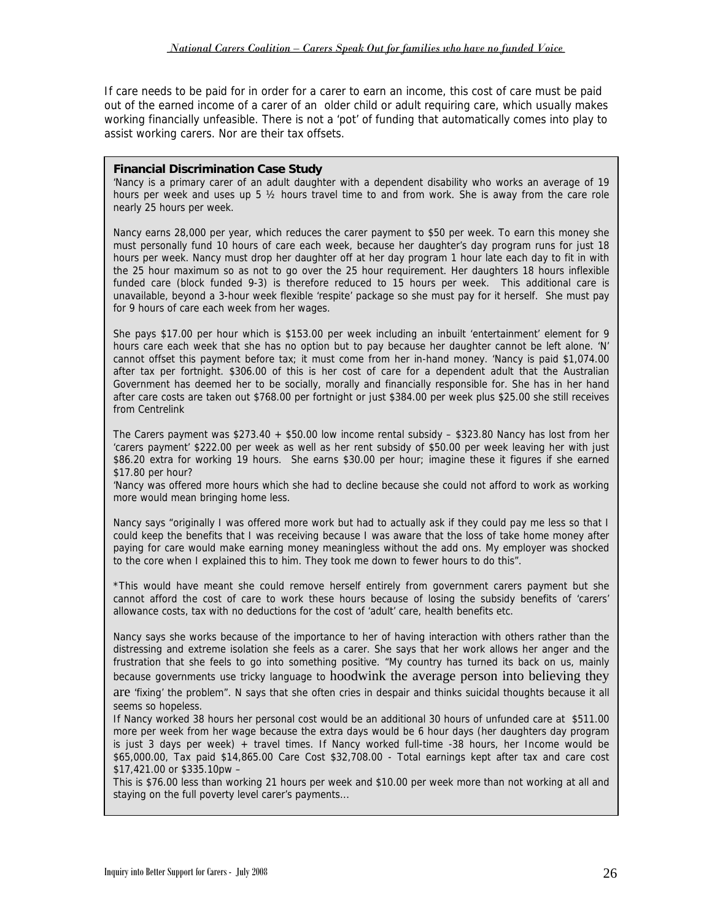If care needs to be paid for in order for a carer to earn an income, this cost of care must be paid out of the earned income of a carer of an older child or adult requiring care, which usually makes working financially unfeasible. There is not a 'pot' of funding that automatically comes into play to assist working carers. Nor are their tax offsets.

#### **Financial Discrimination Case Study**

'Nancy is a primary carer of an adult daughter with a dependent disability who works an average of 19 hours per week and uses up 5  $\frac{1}{2}$  hours travel time to and from work. She is away from the care role nearly 25 hours per week.

Nancy earns 28,000 per year, which reduces the carer payment to \$50 per week. To earn this money she must personally fund 10 hours of care each week, because her daughter's day program runs for just 18 hours per week. Nancy must drop her daughter off at her day program 1 hour late each day to fit in with the 25 hour maximum so as not to go over the 25 hour requirement. Her daughters 18 hours inflexible funded care (block funded 9-3) is therefore reduced to 15 hours per week. This additional care is unavailable, beyond a 3-hour week flexible 'respite' package so she must pay for it herself. She must pay for 9 hours of care each week from her wages.

She pays \$17.00 per hour which is \$153.00 per week including an inbuilt 'entertainment' element for 9 hours care each week that she has no option but to pay because her daughter cannot be left alone. 'N' cannot offset this payment before tax; it must come from her in-hand money. 'Nancy is paid \$1,074.00 after tax per fortnight. \$306.00 of this is her cost of care for a dependent adult that the Australian Government has deemed her to be socially, morally and financially responsible for. She has in her hand after care costs are taken out \$768.00 per fortnight or just \$384.00 per week plus \$25.00 she still receives from Centrelink

The Carers payment was \$273.40 + \$50.00 low income rental subsidy – \$323.80 Nancy has lost from her 'carers payment' \$222.00 per week as well as her rent subsidy of \$50.00 per week leaving her with just \$86.20 extra for working 19 hours. She earns \$30.00 per hour; imagine these it figures if she earned \$17.80 per hour?

'Nancy was offered more hours which she had to decline because she could not afford to work as working more would mean bringing home less.

Nancy says "originally I was offered more work but had to actually ask if they could pay me less so that I could keep the benefits that I was receiving because I was aware that the loss of take home money after paying for care would make earning money meaningless without the add ons. My employer was shocked to the core when I explained this to him. They took me down to fewer hours to do this".

\*This would have meant she could remove herself entirely from government carers payment but she cannot afford the cost of care to work these hours because of losing the subsidy benefits of 'carers' allowance costs, tax with no deductions for the cost of 'adult' care, health benefits etc.

Nancy says she works because of the importance to her of having interaction with others rather than the distressing and extreme isolation she feels as a carer. She says that her work allows her anger and the frustration that she feels to go into something positive. "My country has turned its back on us, mainly because governments use tricky language to hoodwink the average person into believing they are 'fixing' the problem". N says that she often cries in despair and thinks suicidal thoughts because it all seems so hopeless.

If Nancy worked 38 hours her personal cost would be an additional 30 hours of unfunded care at \$511.00 more per week from her wage because the extra days would be 6 hour days (her daughters day program is just 3 days per week) + travel times. If Nancy worked full-time -38 hours, her Income would be \$65,000.00, Tax paid \$14,865.00 Care Cost \$32,708.00 - Total earnings kept after tax and care cost \$17,421.00 or \$335.10pw –

This is \$76.00 less than working 21 hours per week and \$10.00 per week more than not working at all and staying on the full poverty level carer's payments...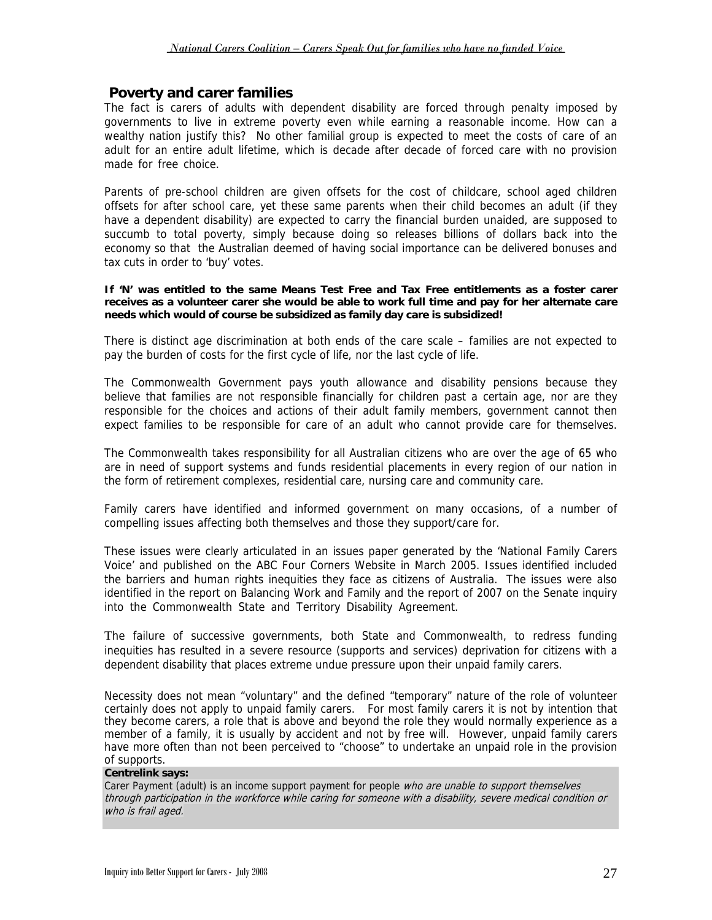### **Poverty and carer families**

The fact is carers of adults with dependent disability are forced through penalty imposed by governments to live in extreme poverty even while earning a reasonable income. How can a wealthy nation justify this? No other familial group is expected to meet the costs of care of an adult for an entire adult lifetime, which is decade after decade of forced care with no provision made for free choice.

Parents of pre-school children are given offsets for the cost of childcare, school aged children offsets for after school care, yet these same parents when their child becomes an adult (if they have a dependent disability) are expected to carry the financial burden unaided, are supposed to succumb to total poverty, simply because doing so releases billions of dollars back into the economy so that the Australian deemed of having social importance can be delivered bonuses and tax cuts in order to 'buy' votes.

**If 'N' was entitled to the same Means Test Free and Tax Free entitlements as a foster carer receives as a volunteer carer she would be able to work full time and pay for her alternate care needs which would of course be subsidized as family day care is subsidized!** 

There is distinct age discrimination at both ends of the care scale – families are not expected to pay the burden of costs for the first cycle of life, nor the last cycle of life.

The Commonwealth Government pays youth allowance and disability pensions because they believe that families are not responsible financially for children past a certain age, nor are they responsible for the choices and actions of their adult family members, government cannot then expect families to be responsible for care of an adult who cannot provide care for themselves.

The Commonwealth takes responsibility for all Australian citizens who are over the age of 65 who are in need of support systems and funds residential placements in every region of our nation in the form of retirement complexes, residential care, nursing care and community care.

Family carers have identified and informed government on many occasions, of a number of compelling issues affecting both themselves and those they support/care for.

These issues were clearly articulated in an issues paper generated by the 'National Family Carers Voice' and published on the ABC Four Corners Website in March 2005. Issues identified included the barriers and human rights inequities they face as citizens of Australia. The issues were also identified in the report on Balancing Work and Family and the report of 2007 on the Senate inquiry into the Commonwealth State and Territory Disability Agreement.

The failure of successive governments, both State and Commonwealth, to redress funding inequities has resulted in a severe resource (supports and services) deprivation for citizens with a dependent disability that places extreme undue pressure upon their unpaid family carers.

Necessity does not mean "voluntary" and the defined "temporary" nature of the role of volunteer certainly does not apply to unpaid family carers. For most family carers it is not by intention that they become carers, a role that is above and beyond the role they would normally experience as a member of a family, it is usually by accident and not by free will. However, unpaid family carers have more often than not been perceived to "choose" to undertake an unpaid role in the provision of supports.

#### **Centrelink says:**

Carer Payment (adult) is an income support payment for people who are unable to support themselves through participation in the workforce while caring for someone with a disability, severe medical condition or who is frail aged.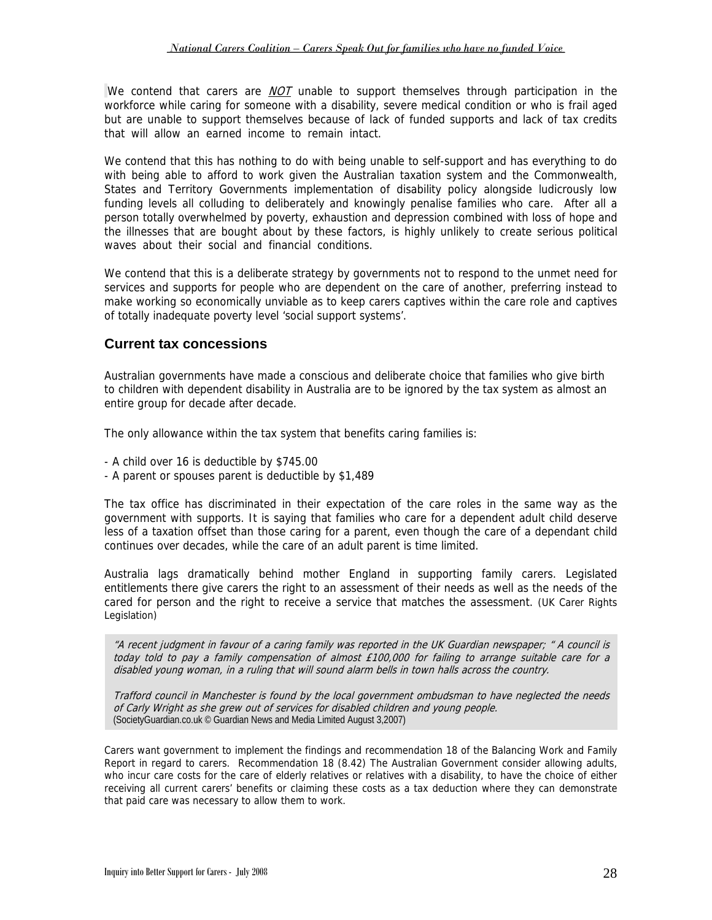We contend that carers are *NOT* unable to support themselves through participation in the workforce while caring for someone with a disability, severe medical condition or who is frail aged but are unable to support themselves because of lack of funded supports and lack of tax credits that will allow an earned income to remain intact.

We contend that this has nothing to do with being unable to self-support and has everything to do with being able to afford to work given the Australian taxation system and the Commonwealth, States and Territory Governments implementation of disability policy alongside ludicrously low funding levels all colluding to deliberately and knowingly penalise families who care. After all a person totally overwhelmed by poverty, exhaustion and depression combined with loss of hope and the illnesses that are bought about by these factors, is highly unlikely to create serious political waves about their social and financial conditions.

We contend that this is a deliberate strategy by governments not to respond to the unmet need for services and supports for people who are dependent on the care of another, preferring instead to make working so economically unviable as to keep carers captives within the care role and captives of totally inadequate poverty level 'social support systems'.

### **Current tax concessions**

Australian governments have made a conscious and deliberate choice that families who give birth to children with dependent disability in Australia are to be ignored by the tax system as almost an entire group for decade after decade.

The only allowance within the tax system that benefits caring families is:

- A child over 16 is deductible by \$745.00
- A parent or spouses parent is deductible by \$1,489

The tax office has discriminated in their expectation of the care roles in the same way as the government with supports. It is saying that families who care for a dependent adult child deserve less of a taxation offset than those caring for a parent, even though the care of a dependant child continues over decades, while the care of an adult parent is time limited.

Australia lags dramatically behind mother England in supporting family carers. Legislated entitlements there give carers the right to an assessment of their needs as well as the needs of the cared for person and the right to receive a service that matches the assessment. (UK Carer Rights Legislation)

"A recent judgment in favour of a caring family was reported in the UK Guardian newspaper; " A council is today told to pay a family compensation of almost £100,000 for failing to arrange suitable care for a disabled young woman, in a ruling that will sound alarm bells in town halls across the country.

Trafford council in Manchester is found by the local government ombudsman to have neglected the needs of Carly Wright as she grew out of services for disabled children and young people. (SocietyGuardian.co.uk © Guardian News and Media Limited August 3,2007)

Carers want government to implement the findings and recommendation 18 of the Balancing Work and Family Report in regard to carers. Recommendation 18 (8.42) The Australian Government consider allowing adults, who incur care costs for the care of elderly relatives or relatives with a disability, to have the choice of either receiving all current carers' benefits or claiming these costs as a tax deduction where they can demonstrate that paid care was necessary to allow them to work.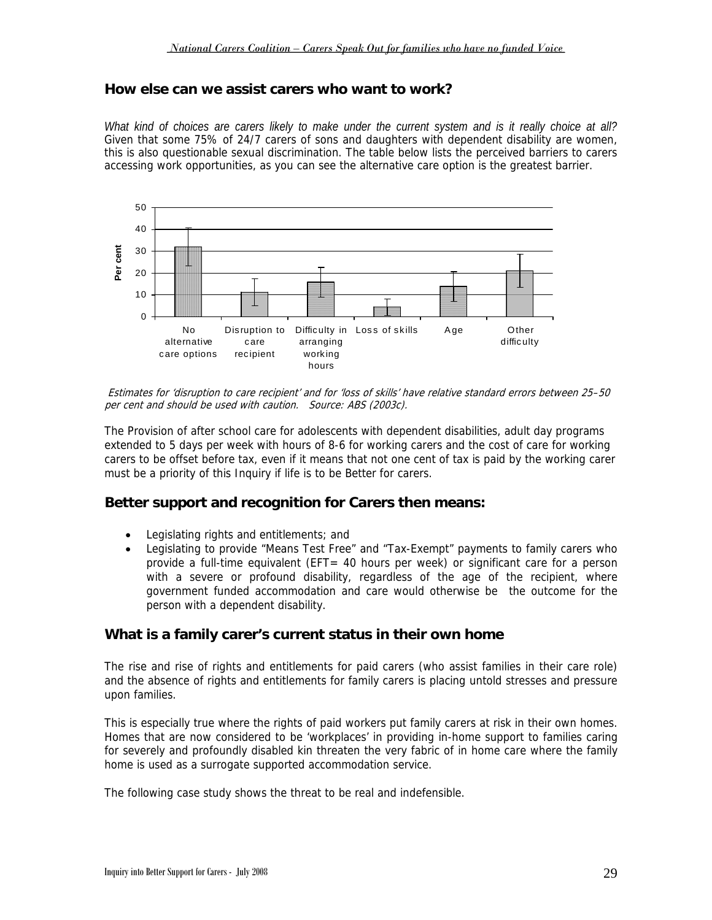### **How else can we assist carers who want to work?**

*What kind of choices are carers likely to make under the current system and is it really choice at all?*  Given that some 75% of 24/7 carers of sons and daughters with dependent disability are women, this is also questionable sexual discrimination. The table below lists the perceived barriers to carers accessing work opportunities, as you can see the alternative care option is the greatest barrier.



 Estimates for 'disruption to care recipient' and for 'loss of skills' have relative standard errors between 25–50 per cent and should be used with caution. Source: ABS (2003c).

The Provision of after school care for adolescents with dependent disabilities, adult day programs extended to 5 days per week with hours of 8-6 for working carers and the cost of care for working carers to be offset before tax, even if it means that not one cent of tax is paid by the working carer must be a priority of this Inquiry if life is to be Better for carers.

### **Better support and recognition for Carers then means:**

- Legislating rights and entitlements; and
- Legislating to provide "Means Test Free" and "Tax-Exempt" payments to family carers who provide a full-time equivalent (EFT= 40 hours per week) or significant care for a person with a severe or profound disability, regardless of the age of the recipient, where government funded accommodation and care would otherwise be the outcome for the person with a dependent disability.

### **What is a family carer's current status in their own home**

The rise and rise of rights and entitlements for paid carers (who assist families in their care role) and the absence of rights and entitlements for family carers is placing untold stresses and pressure upon families.

This is especially true where the rights of paid workers put family carers at risk in their own homes. Homes that are now considered to be 'workplaces' in providing in-home support to families caring for severely and profoundly disabled kin threaten the very fabric of in home care where the family home is used as a surrogate supported accommodation service.

The following case study shows the threat to be real and indefensible.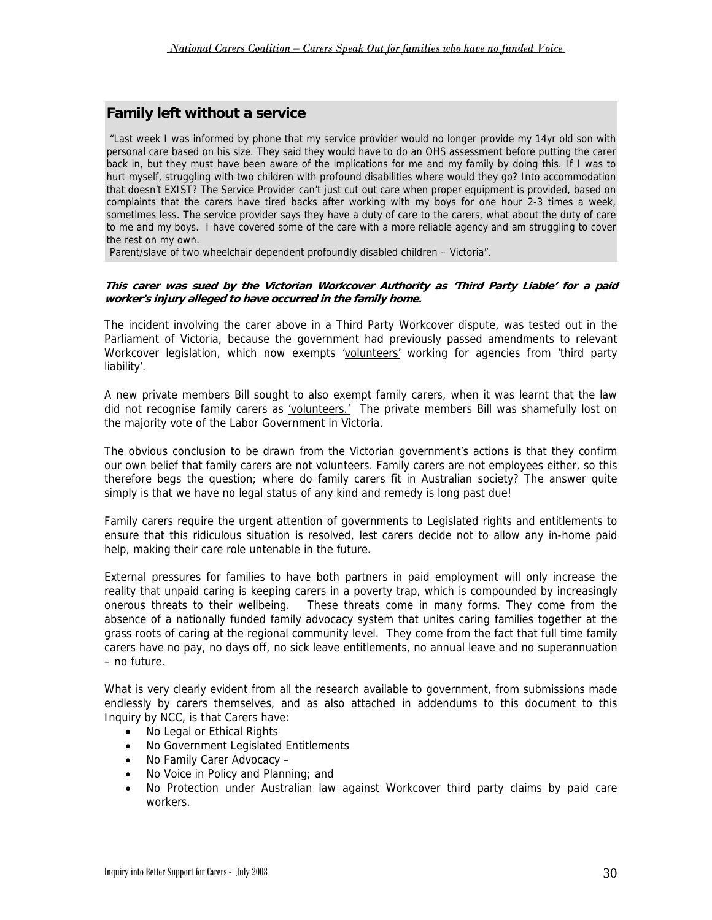### **Family left without a service**

 "Last week I was informed by phone that my service provider would no longer provide my 14yr old son with personal care based on his size. They said they would have to do an OHS assessment before putting the carer back in, but they must have been aware of the implications for me and my family by doing this. If I was to hurt myself, struggling with two children with profound disabilities where would they go? Into accommodation that doesn't EXIST? The Service Provider can't just cut out care when proper equipment is provided, based on complaints that the carers have tired backs after working with my boys for one hour 2-3 times a week, sometimes less. The service provider says they have a duty of care to the carers, what about the duty of care to me and my boys. I have covered some of the care with a more reliable agency and am struggling to cover the rest on my own.

Parent/slave of two wheelchair dependent profoundly disabled children – Victoria".

#### **This carer was sued by the Victorian Workcover Authority as 'Third Party Liable' for a paid worker's injury alleged to have occurred in the family home.**

The incident involving the carer above in a Third Party Workcover dispute, was tested out in the Parliament of Victoria, because the government had previously passed amendments to relevant Workcover legislation, which now exempts 'volunteers' working for agencies from 'third party liability'.

A new private members Bill sought to also exempt family carers, when it was learnt that the law did not recognise family carers as 'volunteers.' The private members Bill was shamefully lost on the majority vote of the Labor Government in Victoria.

The obvious conclusion to be drawn from the Victorian government's actions is that they confirm our own belief that family carers are not volunteers. Family carers are not employees either, so this therefore begs the question; where do family carers fit in Australian society? The answer quite simply is that we have no legal status of any kind and remedy is long past due!

Family carers require the urgent attention of governments to Legislated rights and entitlements to ensure that this ridiculous situation is resolved, lest carers decide not to allow any in-home paid help, making their care role untenable in the future.

External pressures for families to have both partners in paid employment will only increase the reality that unpaid caring is keeping carers in a poverty trap, which is compounded by increasingly onerous threats to their wellbeing. These threats come in many forms. They come from the absence of a nationally funded family advocacy system that unites caring families together at the grass roots of caring at the regional community level. They come from the fact that full time family carers have no pay, no days off, no sick leave entitlements, no annual leave and no superannuation – no future.

What is very clearly evident from all the research available to government, from submissions made endlessly by carers themselves, and as also attached in addendums to this document to this Inquiry by NCC, is that Carers have:

- No Legal or Ethical Rights
- No Government Legislated Entitlements
- No Family Carer Advocacy –
- No Voice in Policy and Planning; and
- No Protection under Australian law against Workcover third party claims by paid care workers.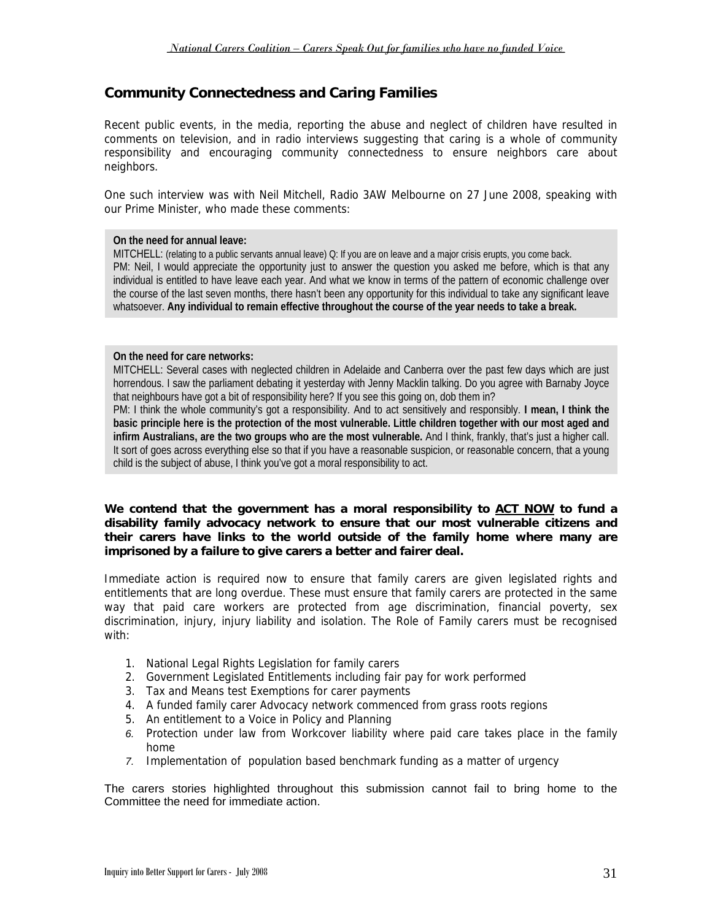### **Community Connectedness and Caring Families**

Recent public events, in the media, reporting the abuse and neglect of children have resulted in comments on television, and in radio interviews suggesting that caring is a whole of community responsibility and encouraging community connectedness to ensure neighbors care about neighbors.

One such interview was with Neil Mitchell, Radio 3AW Melbourne on 27 June 2008, speaking with our Prime Minister, who made these comments:

#### **On the need for annual leave:**

MITCHELL: (relating to a public servants annual leave) Q: If you are on leave and a major crisis erupts, you come back. PM: Neil, I would appreciate the opportunity just to answer the question you asked me before, which is that any individual is entitled to have leave each year. And what we know in terms of the pattern of economic challenge over the course of the last seven months, there hasn't been any opportunity for this individual to take any significant leave whatsoever. **Any individual to remain effective throughout the course of the year needs to take a break.** 

#### **On the need for care networks:**

MITCHELL: Several cases with neglected children in Adelaide and Canberra over the past few days which are just horrendous. I saw the parliament debating it yesterday with Jenny Macklin talking. Do you agree with Barnaby Joyce that neighbours have got a bit of responsibility here? If you see this going on, dob them in?

PM: I think the whole community's got a responsibility. And to act sensitively and responsibly. **I mean, I think the basic principle here is the protection of the most vulnerable. Little children together with our most aged and infirm Australians, are the two groups who are the most vulnerable.** And I think, frankly, that's just a higher call. It sort of goes across everything else so that if you have a reasonable suspicion, or reasonable concern, that a young child is the subject of abuse, I think you've got a moral responsibility to act.

#### **We contend that the government has a moral responsibility to ACT NOW to fund a disability family advocacy network to ensure that our most vulnerable citizens and their carers have links to the world outside of the family home where many are imprisoned by a failure to give carers a better and fairer deal.**

Immediate action is required now to ensure that family carers are given legislated rights and entitlements that are long overdue. These must ensure that family carers are protected in the same way that paid care workers are protected from age discrimination, financial poverty, sex discrimination, injury, injury liability and isolation. The Role of Family carers must be recognised with:

- 1. National Legal Rights Legislation for family carers
- 2. Government Legislated Entitlements including fair pay for work performed
- 3. Tax and Means test Exemptions for carer payments
- 4. A funded family carer Advocacy network commenced from grass roots regions
- 5. An entitlement to a Voice in Policy and Planning
- *6.* Protection under law from Workcover liability where paid care takes place in the family home
- *7.* Implementation of population based benchmark funding as a matter of urgency

The carers stories highlighted throughout this submission cannot fail to bring home to the Committee the need for immediate action.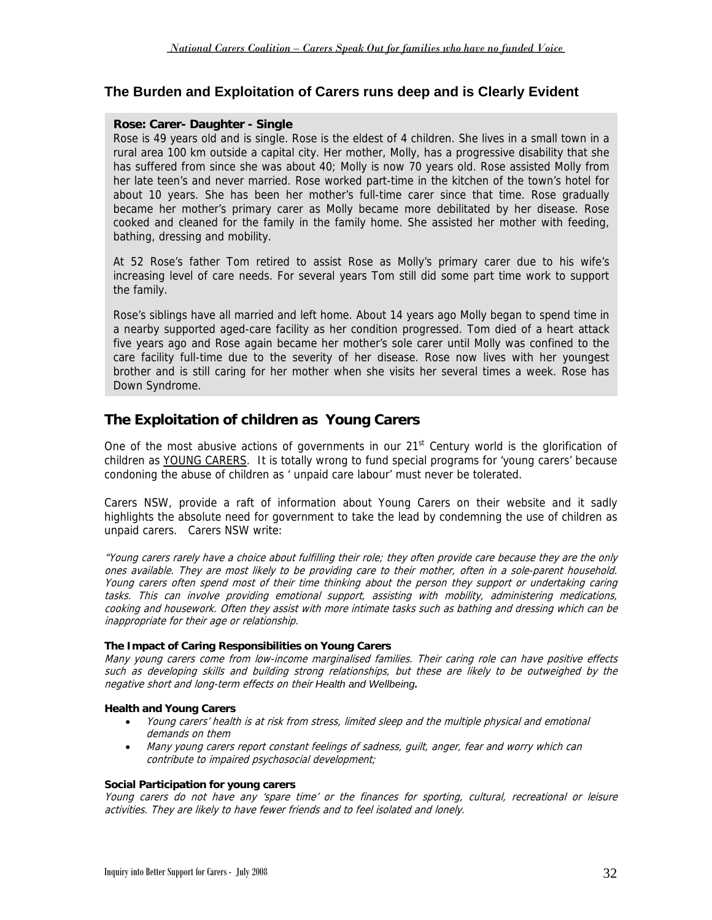### **The Burden and Exploitation of Carers runs deep and is Clearly Evident**

### **Rose: Carer- Daughter - Single**

Rose is 49 years old and is single. Rose is the eldest of 4 children. She lives in a small town in a rural area 100 km outside a capital city. Her mother, Molly, has a progressive disability that she has suffered from since she was about 40; Molly is now 70 years old. Rose assisted Molly from her late teen's and never married. Rose worked part-time in the kitchen of the town's hotel for about 10 years. She has been her mother's full-time carer since that time. Rose gradually became her mother's primary carer as Molly became more debilitated by her disease. Rose cooked and cleaned for the family in the family home. She assisted her mother with feeding, bathing, dressing and mobility.

At 52 Rose's father Tom retired to assist Rose as Molly's primary carer due to his wife's increasing level of care needs. For several years Tom still did some part time work to support the family.

Rose's siblings have all married and left home. About 14 years ago Molly began to spend time in a nearby supported aged-care facility as her condition progressed. Tom died of a heart attack five years ago and Rose again became her mother's sole carer until Molly was confined to the care facility full-time due to the severity of her disease. Rose now lives with her youngest brother and is still caring for her mother when she visits her several times a week. Rose has Down Syndrome.

### **The Exploitation of children as Young Carers**

One of the most abusive actions of governments in our  $21<sup>st</sup>$  Century world is the glorification of children as YOUNG CARERS. It is totally wrong to fund special programs for 'young carers' because condoning the abuse of children as ' unpaid care labour' must never be tolerated.

Carers NSW, provide a raft of information about Young Carers on their website and it sadly highlights the absolute need for government to take the lead by condemning the use of children as unpaid carers. Carers NSW write:

"Young carers rarely have a choice about fulfilling their role; they often provide care because they are the only ones available. They are most likely to be providing care to their mother, often in a sole-parent household. Young carers often spend most of their time thinking about the person they support or undertaking caring tasks. This can involve providing emotional support, assisting with mobility, administering medications, cooking and housework. Often they assist with more intimate tasks such as bathing and dressing which can be inappropriate for their age or relationship.

### **The Impact of Caring Responsibilities on Young Carers**

Many young carers come from low-income marginalised families. Their caring role can have positive effects such as developing skills and building strong relationships, but these are likely to be outweighed by the negative short and long-term effects on their *Health and Wellbeing.* 

#### **Health and Young Carers**

- Young carers' health is at risk from stress, limited sleep and the multiple physical and emotional demands on them
- Many young carers report constant feelings of sadness, guilt, anger, fear and worry which can contribute to impaired psychosocial development;

#### **Social Participation for young carers**

Young carers do not have any 'spare time' or the finances for sporting, cultural, recreational or leisure activities. They are likely to have fewer friends and to feel isolated and lonely.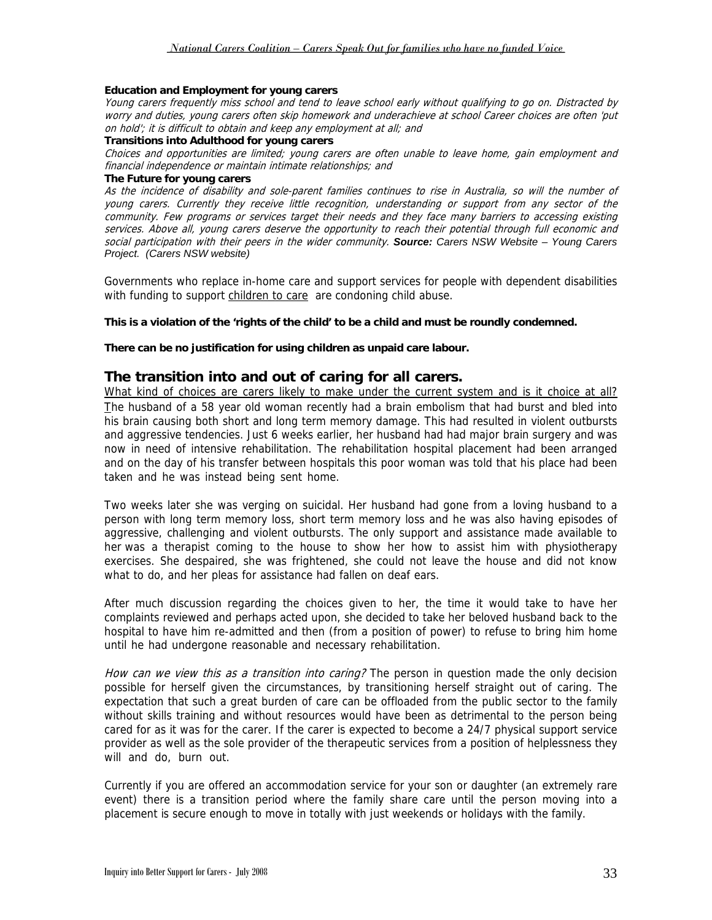#### **Education and Employment for young carers**

Young carers frequently miss school and tend to leave school early without qualifying to go on Distracted by . worry and duties, young carers often skip homework and underachieve at school Career choices are often 'put on hold'; it is difficult to obtain and keep any employment at all; and

#### **Transitions into Adulthood for young carers**

Choices and opportunities are limited; young carers are often unable to leave home, gain employment and financial independence or maintain intimate relationships; and

#### **The Future for young carers**

As the incidence of disability and sole-parent families continues to rise in Australia, so will the number of social participation with their peers in the wider community. **Source:** Carers NSW Website - Young Carers young carers. Currently they receive little recognition, understanding or support from any sector of the community. Few programs or services target their needs and they face many barriers to accessing existing services. Above all, young carers deserve the opportunity to reach their potential through full economic and *Project. (Carers NSW website)* 

Governments who replace in-home care and support services for people with dependent disabilities with funding to support children to care are condoning child abuse.

#### **This is a violation of the 'rights of the child' to be a child and must be roundly condemned.**

**There can be no justification for using children as unpaid care labour.** 

### **The transition into and out of caring for all carers. .**

What kind of choices are carers likely to make under the current system and is it choice at all? The husband of a 58 year old woman recently had a brain embolism that had burst and bled into his brain causing both short and long term memory damage. This had resulted in violent outbursts and aggressive tendencies. Just 6 weeks earlier, her husband had had major brain surgery and was now in need of intensive rehabilitation. The rehabilitation hospital placement had been arranged and on the day of his transfer between hospitals this poor woman was told that his place had been taken and he was instead being sent home.

Two weeks later she was verging on suicidal. Her husband had gone from a loving husband to a person with long term memory loss, short term memory loss and he was also having episodes of aggressive, challenging and violent outbursts. The only support and assistance made available to her was a therapist coming to the house to show her how to assist him with physiotherapy exercises. She despaired, she was frightened, she could not leave the house and did not know what to do, and her pleas for assistance had fallen on deaf ears.

After much discussion regarding the choices given to her, the time it would take to have her complaints reviewed and perhaps acted upon, she decided to take her beloved husband back to the hospital to have him re-admitted and then (from a position of power) to refuse to bring him home until he had undergone reasonable and necessary rehabilitation. .

How can we view this as a transition into caring? The person in question made the only decision possible for herself given the circumstances, by transitioning herself straight out of caring. The expectation that such a great burden of care can be offloaded from the public sector to the family without skills training and without resources would have been as detrimental to the person being cared for as it was for the carer. If the carer is expected to become a 24/7 physical support service provider as well as the sole provider of the therapeutic services from a position of helplessness they will and do, burn out.

Currently if you are offered an accommodation service for your son or daughter (an extremely rare event) there is a transition period where the family share care until the person moving into a placement is secure enough to move in totally with just weekends or holidays with the family.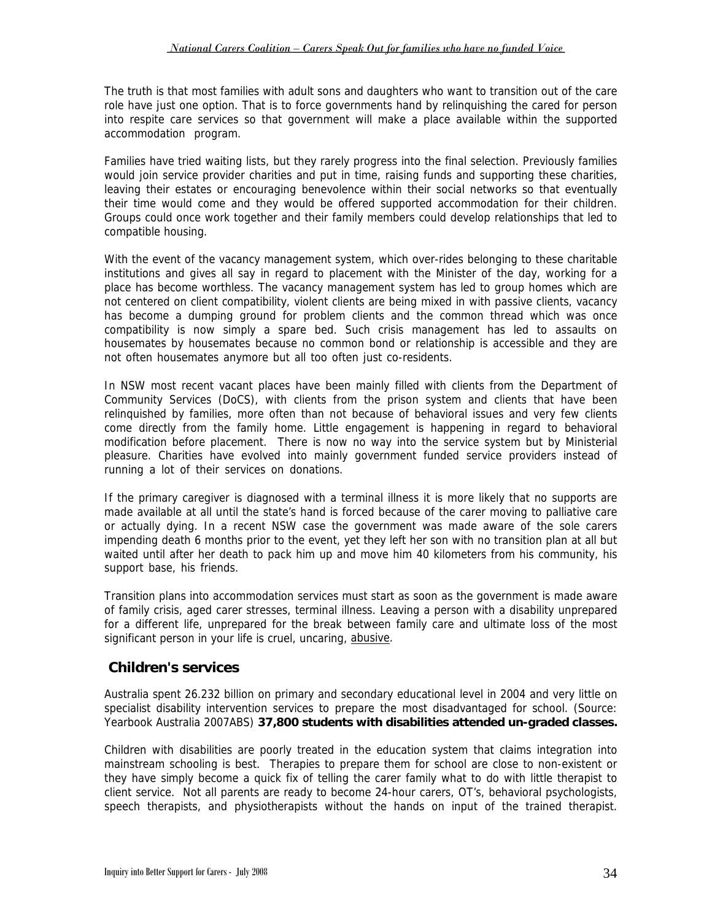The truth is that most families with adult sons and daughters who want to transition out of the care role have just one option. That is to force governments hand by relinquishing the cared for person into respite care services so that government will make a place available within the supported accommodation program. .

Families have tried waiting lists, but they rarely progress into the final selection. Previously families would join service provider charities and put in time, raising funds and supporting these charities, leaving their estates or encouraging benevolence within their social networks so that eventually their time would come and they would be offered supported accommodation for their children. Groups could once work together and their family members could develop relationships that led to compatible housing.

With the event of the vacancy management system, which over-rides belonging to these charitable institutions and gives all say in regard to placement with the Minister of the day, working for a place has become worthless. The vacancy management system has led to group homes which are not centered on client compatibility, violent clients are being mixed in with passive clients, vacancy has become a dumping ground for problem clients and the common thread which was once compatibility is now simply a spare bed. Such crisis management has led to assaults on housemates by housemates because no common bond or relationship is accessible and they are not often housemates anymore but all too often just co-residents. .

In NSW most recent vacant places have been mainly filled with clients from the Department of Community Services (DoCS), with clients from the prison system and clients that have been relinquished by families, more often than not because of behavioral issues and very few clients come directly from the family home. Little engagement is happening in regard to behavioral modification before placement. There is now no way into the service system but by Ministerial pleasure. Charities have evolved into mainly government funded service providers instead of running a lot of their services on donations.

If the primary caregiver is diagnosed with a terminal illness it is more likely that no supports are made available at all until the state's hand is forced because of the carer moving to palliative care or actually dying. In a recent NSW case the government was made aware of the sole carers impending death 6 months prior to the event, yet they left her son with no transition plan at all but waited until after her death to pack him up and move him 40 kilometers from his community, his support base, his friends.

Transition plans into accommodation services must start as soon as the government is made aware of family crisis, aged carer stresses, terminal illness. Leaving a person with a disability unprepared for a different life, unprepared for the break between family care and ultimate loss of the most significant person in your life is cruel, uncaring, abusive.

### **Children's services**

Australia spent 26.232 billion on primary and secondary educational level in 2004 and very little on specialist disability intervention services to prepare the most disadvantaged for school. (Source: Yearbook Australia 2007ABS) **37,800 students with disabilities attended un-graded classes.** 

Children with disabilities are poorly treated in the education system that claims integration into mainstream schooling is best. Therapies to prepare them for school are close to non-existent or they have simply become a quick fix of telling the carer family what to do with little therapist to client service. Not all parents are ready to become 24-hour carers, OT's, behavioral psychologists, speech therapists, and physiotherapists without the hands on input of the trained therapist.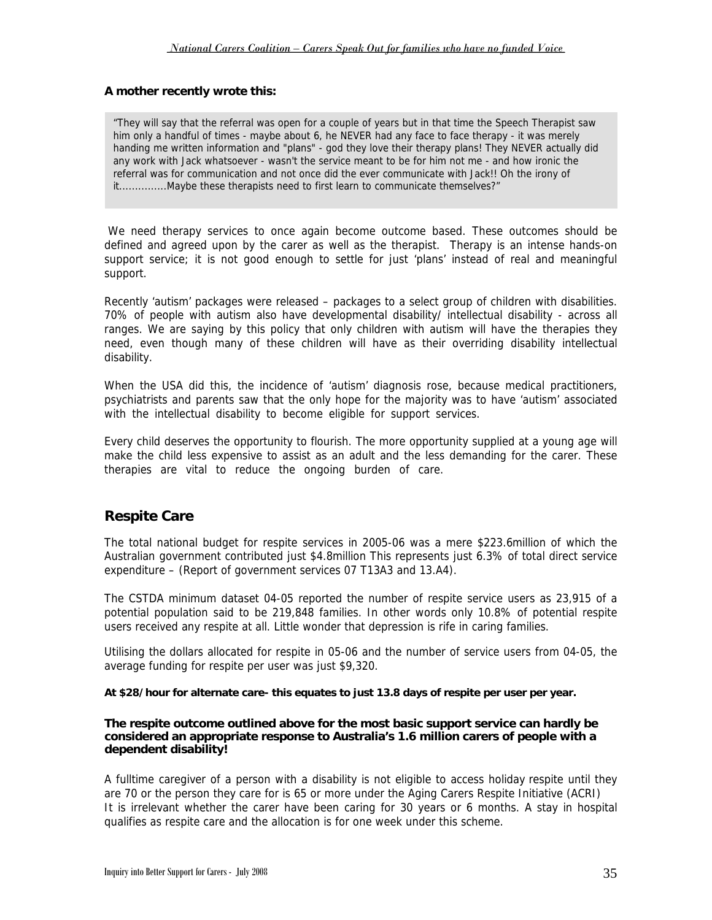#### **A mother recently wrote this:**

"They will say that the referral was open for a couple of years but in that time the Speech Therapist saw him only a handful of times - maybe about 6, he NEVER had any face to face therapy - it was merely handing me written information and "plans" - god they love their therapy plans! They NEVER actually did any work with Jack whatsoever - wasn't the service meant to be for him not me - and how ironic the referral was for communication and not once did the ever communicate with Jack!! Oh the irony of it...............Maybe these therapists need to first learn to communicate themselves?"

 We need therapy services to once again become outcome based. These outcomes should be defined and agreed upon by the carer as well as the therapist. Therapy is an intense hands-on support service; it is not good enough to settle for just 'plans' instead of real and meaningful support.

Recently 'autism' packages were released – packages to a select group of children with disabilities. 70% of people with autism also have developmental disability/ intellectual disability - across all ranges. We are saying by this policy that only children with autism will have the therapies they need, even though many of these children will have as their overriding disability intellectual disability.

When the USA did this, the incidence of 'autism' diagnosis rose, because medical practitioners, psychiatrists and parents saw that the only hope for the majority was to have 'autism' associated with the intellectual disability to become eligible for support services.

Every child deserves the opportunity to flourish. The more opportunity supplied at a young age will make the child less expensive to assist as an adult and the less demanding for the carer. These therapies are vital to reduce the ongoing burden of care.

### **Respite Care**

The total national budget for respite services in 2005-06 was a mere \$223.6million of which the Australian government contributed just \$4.8million This represents just 6.3% of total direct service expenditure – (Report of government services 07 T13A3 and 13.A4).

The CSTDA minimum dataset 04-05 reported the number of respite service users as 23,915 of a potential population said to be 219,848 families. In other words only 10.8% of potential respite users received any respite at all. Little wonder that depression is rife in caring families.

Utilising the dollars allocated for respite in 05-06 and the number of service users from 04-05, the average funding for respite per user was just \$9,320.

**At \$28/hour for alternate care- this equates to just 13.8 days of respite per user per year.** 

#### **The respite outcome outlined above for the most basic support service can hardly be considered an appropriate response to Australia's 1.6 million carers of people with a dependent disability!**

A fulltime caregiver of a person with a disability is not eligible to access holiday respite until they are 70 or the person they care for is 65 or more under the Aging Carers Respite Initiative (ACRI) It is irrelevant whether the carer have been caring for 30 years or 6 months. A stay in hospital qualifies as respite care and the allocation is for one week under this scheme.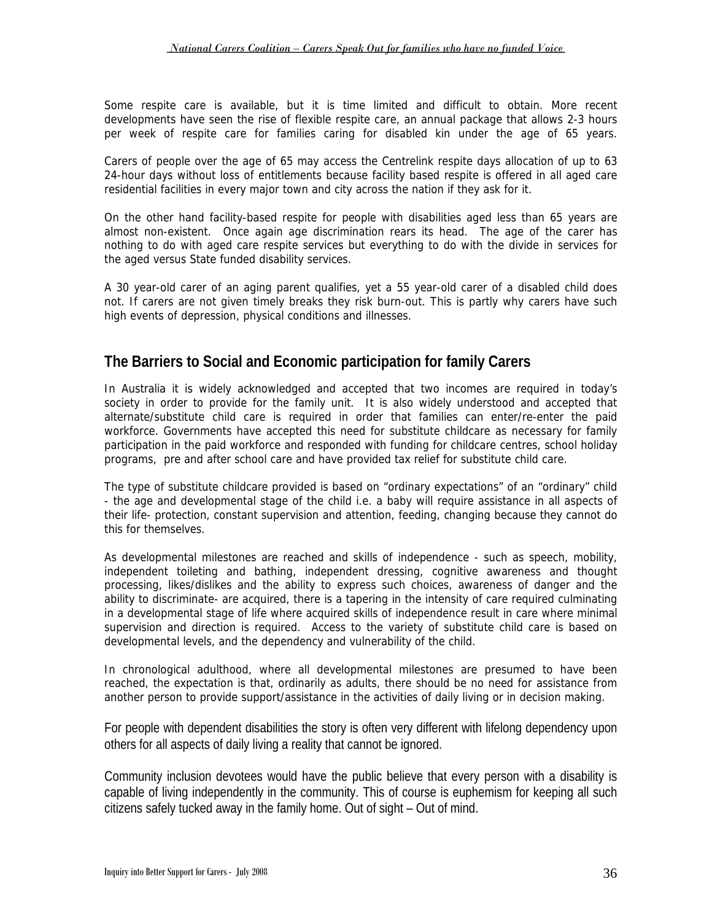Some respite care is available, but it is time limited and difficult to obtain. More recent developments have seen the rise of flexible respite care, an annual package that allows 2-3 hours per week of respite care for families caring for disabled kin under the age of 65 years.

Carers of people over the age of 65 may access the Centrelink respite days allocation of up to 63 24-hour days without loss of entitlements because facility based respite is offered in all aged care residential facilities in every major town and city across the nation if they ask for it.

On the other hand facility-based respite for people with disabilities aged less than 65 years are almost non-existent. Once again age discrimination rears its head. The age of the carer has nothing to do with aged care respite services but everything to do with the divide in services for the aged versus State funded disability services.

A 30 year-old carer of an aging parent qualifies, yet a 55 year-old carer of a disabled child does not. If carers are not given timely breaks they risk burn-out. This is partly why carers have such high events of depression, physical conditions and illnesses.

### **The Barriers to Social and Economic participation for family Carers**

In Australia it is widely acknowledged and accepted that two incomes are required in today's society in order to provide for the family unit. It is also widely understood and accepted that alternate/substitute child care is required in order that families can enter/re-enter the paid workforce. Governments have accepted this need for substitute childcare as necessary for family participation in the paid workforce and responded with funding for childcare centres, school holiday programs, pre and after school care and have provided tax relief for substitute child care.

The type of substitute childcare provided is based on "ordinary expectations" of an "ordinary" child - the age and developmental stage of the child i.e. a baby will require assistance in all aspects of their life- protection, constant supervision and attention, feeding, changing because they cannot do this for themselves.

As developmental milestones are reached and skills of independence - such as speech, mobility, independent toileting and bathing, independent dressing, cognitive awareness and thought processing, likes/dislikes and the ability to express such choices, awareness of danger and the ability to discriminate- are acquired, there is a tapering in the intensity of care required culminating in a developmental stage of life where acquired skills of independence result in care where minimal supervision and direction is required. Access to the variety of substitute child care is based on developmental levels, and the dependency and vulnerability of the child.

In chronological adulthood, where all developmental milestones are presumed to have been reached, the expectation is that, ordinarily as adults, there should be no need for assistance from another person to provide support/assistance in the activities of daily living or in decision making.

For people with dependent disabilities the story is often very different with lifelong dependency upon others for all aspects of daily living a reality that cannot be ignored.

Community inclusion devotees would have the public believe that every person with a disability is capable of living independently in the community. This of course is euphemism for keeping all such citizens safely tucked away in the family home. Out of sight – Out of mind.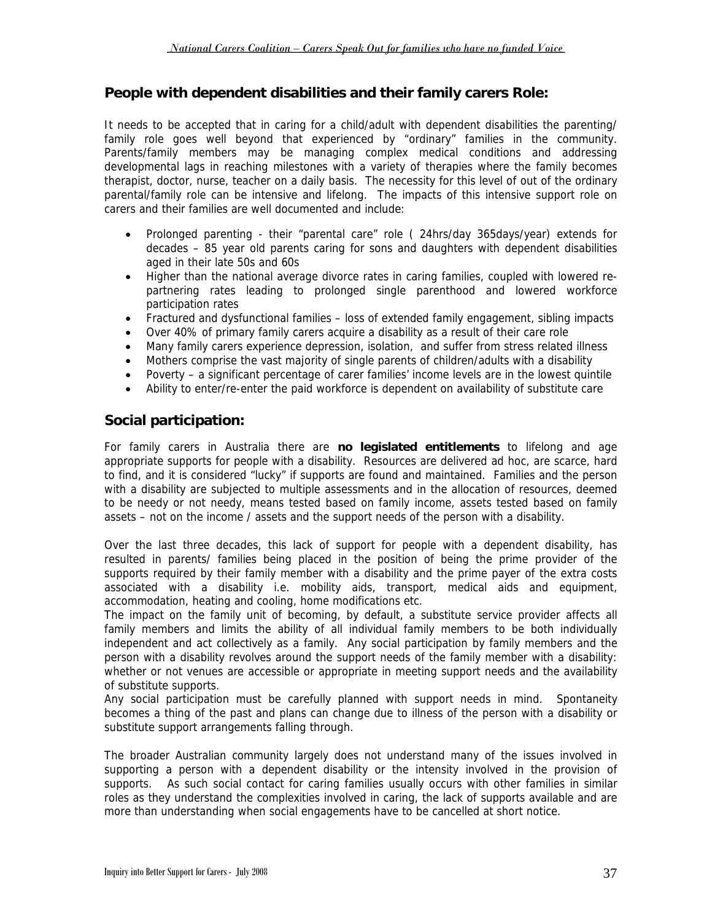### **People with dependent disabilities and their family carers Role:**

It needs to be accepted that in caring for a child/adult with dependent disabilities the parenting/ family role goes well beyond that experienced by "ordinary" families in the community. Parents/family members may be managing complex medical conditions and addressing developmental lags in reaching milestones with a variety of therapies where the family becomes therapist, doctor, nurse, teacher on a daily basis. The necessity for this level of out of the ordinary parental/family role can be intensive and lifelong. The impacts of this intensive support role on carers and their families are well documented and include:

- Prolonged parenting their "parental care" role ( 24hrs/day 365days/year) extends for decades – 85 year old parents caring for sons and daughters with dependent disabilities aged in their late 50s and 60s
- Higher than the national average divorce rates in caring families, coupled with lowered repartnering rates leading to prolonged single parenthood and lowered workforce participation rates
- Fractured and dysfunctional families loss of extended family engagement, sibling impacts
- Over 40% of primary family carers acquire a disability as a result of their care role
- Many family carers experience depression, isolation, and suffer from stress related illness
- Mothers comprise the vast majority of single parents of children/adults with a disability
- Poverty a significant percentage of carer families' income levels are in the lowest quintile
- Ability to enter/re-enter the paid workforce is dependent on availability of substitute care

### **Social participation:**

For family carers in Australia there are **no legislated entitlements** to lifelong and age appropriate supports for people with a disability. Resources are delivered ad hoc, are scarce, hard to find, and it is considered "lucky" if supports are found and maintained. Families and the person with a disability are subjected to multiple assessments and in the allocation of resources, deemed to be needy or not needy, means tested based on family income, assets tested based on family assets – not on the income / assets and the support needs of the person with a disability.

Over the last three decades, this lack of support for people with a dependent disability, has resulted in parents/ families being placed in the position of being the prime provider of the supports required by their family member with a disability and the prime payer of the extra costs associated with a disability i.e. mobility aids, transport, medical aids and equipment, accommodation, heating and cooling, home modifications etc.

The impact on the family unit of becoming, by default, a substitute service provider affects all family members and limits the ability of all individual family members to be both individually independent and act collectively as a family. Any social participation by family members and the person with a disability revolves around the support needs of the family member with a disability: whether or not venues are accessible or appropriate in meeting support needs and the availability of substitute supports.

Any social participation must be carefully planned with support needs in mind. Spontaneity becomes a thing of the past and plans can change due to illness of the person with a disability or substitute support arrangements falling through.

The broader Australian community largely does not understand many of the issues involved in supporting a person with a dependent disability or the intensity involved in the provision of supports. As such social contact for caring families usually occurs with other families in similar roles as they understand the complexities involved in caring, the lack of supports available and are more than understanding when social engagements have to be cancelled at short notice.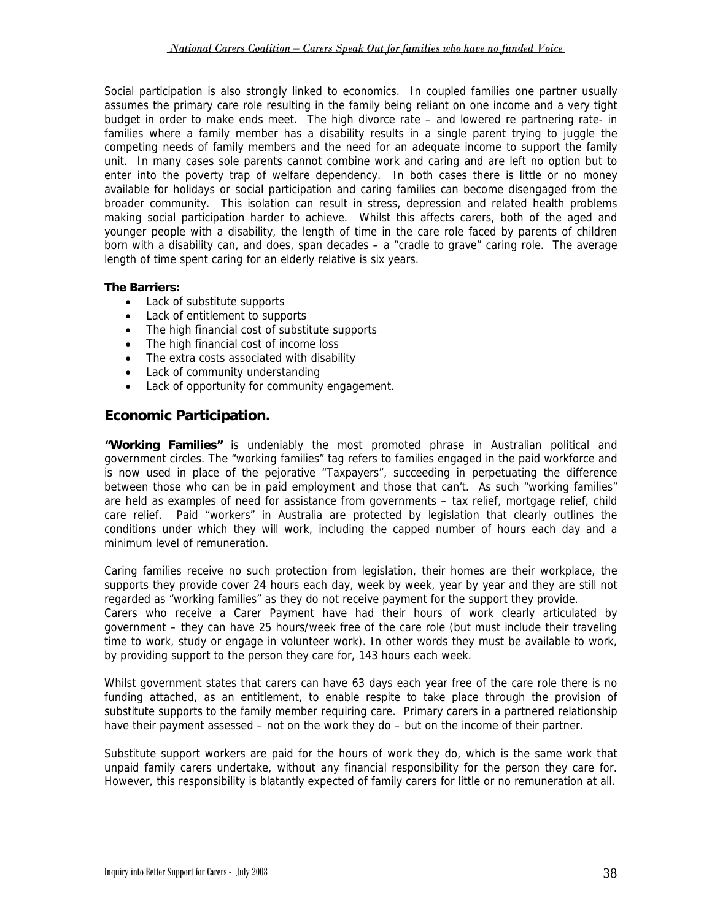Social participation is also strongly linked to economics. In coupled families one partner usually assumes the primary care role resulting in the family being reliant on one income and a very tight budget in order to make ends meet. The high divorce rate – and lowered re partnering rate- in families where a family member has a disability results in a single parent trying to juggle the competing needs of family members and the need for an adequate income to support the family unit. In many cases sole parents cannot combine work and caring and are left no option but to enter into the poverty trap of welfare dependency. In both cases there is little or no money available for holidays or social participation and caring families can become disengaged from the broader community. This isolation can result in stress, depression and related health problems making social participation harder to achieve. Whilst this affects carers, both of the aged and younger people with a disability, the length of time in the care role faced by parents of children born with a disability can, and does, span decades – a "cradle to grave" caring role. The average length of time spent caring for an elderly relative is six years.

### **The Barriers:**

- Lack of substitute supports
- Lack of entitlement to supports
- The high financial cost of substitute supports
- The high financial cost of income loss
- The extra costs associated with disability
- Lack of community understanding
- Lack of opportunity for community engagement.

### **Economic Participation.**

**"Working Families"** is undeniably the most promoted phrase in Australian political and government circles. The "working families" tag refers to families engaged in the paid workforce and is now used in place of the pejorative "Taxpayers", succeeding in perpetuating the difference between those who can be in paid employment and those that can't. As such "working families" are held as examples of need for assistance from governments – tax relief, mortgage relief, child care relief. Paid "workers" in Australia are protected by legislation that clearly outlines the conditions under which they will work, including the capped number of hours each day and a minimum level of remuneration.

Caring families receive no such protection from legislation, their homes are their workplace, the supports they provide cover 24 hours each day, week by week, year by year and they are still not regarded as "working families" as they do not receive payment for the support they provide.

Carers who receive a Carer Payment have had their hours of work clearly articulated by government – they can have 25 hours/week free of the care role (but must include their traveling time to work, study or engage in volunteer work). In other words they must be available to work, by providing support to the person they care for, 143 hours each week.

Whilst government states that carers can have 63 days each year free of the care role there is no funding attached, as an entitlement, to enable respite to take place through the provision of substitute supports to the family member requiring care. Primary carers in a partnered relationship have their payment assessed – not on the work they do – but on the income of their partner.

Substitute support workers are paid for the hours of work they do, which is the same work that unpaid family carers undertake, without any financial responsibility for the person they care for. However, this responsibility is blatantly expected of family carers for little or no remuneration at all.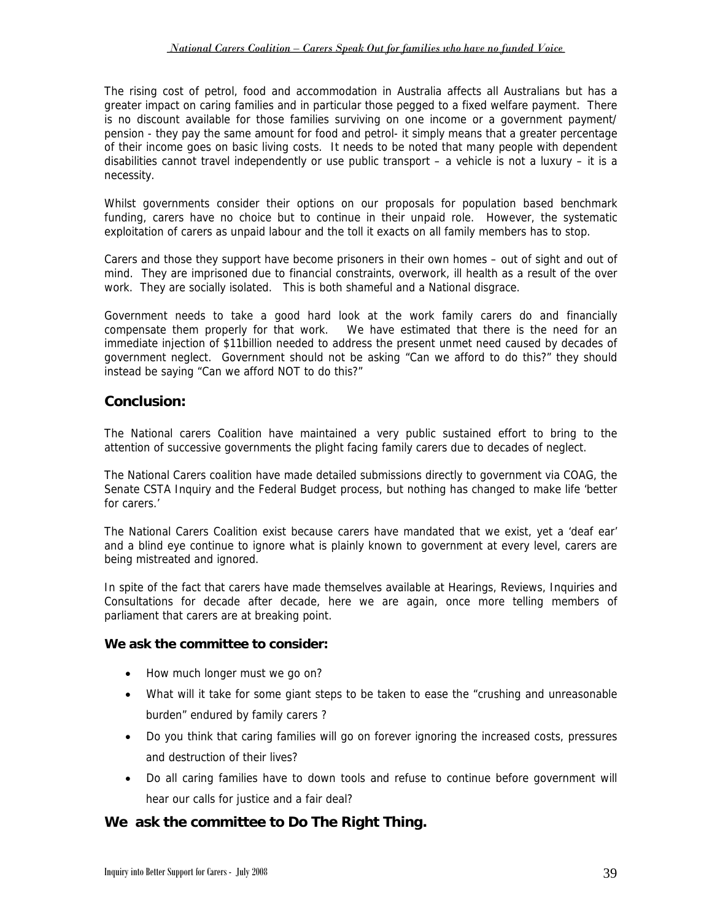The rising cost of petrol, food and accommodation in Australia affects all Australians but has a greater impact on caring families and in particular those pegged to a fixed welfare payment. There is no discount available for those families surviving on one income or a government payment/ pension - they pay the same amount for food and petrol- it simply means that a greater percentage of their income goes on basic living costs. It needs to be noted that many people with dependent disabilities cannot travel independently or use public transport – a vehicle is not a luxury – it is a necessity.

Whilst governments consider their options on our proposals for population based benchmark funding, carers have no choice but to continue in their unpaid role. However, the systematic exploitation of carers as unpaid labour and the toll it exacts on all family members has to stop.

Carers and those they support have become prisoners in their own homes – out of sight and out of mind. They are imprisoned due to financial constraints, overwork, ill health as a result of the over work. They are socially isolated. This is both shameful and a National disgrace.

Government needs to take a good hard look at the work family carers do and financially compensate them properly for that work. We have estimated that there is the need for an immediate injection of \$11billion needed to address the present unmet need caused by decades of government neglect. Government should not be asking "Can we afford to do this?" they should instead be saying "Can we afford NOT to do this?"

### **Conclusion:**

The National carers Coalition have maintained a very public sustained effort to bring to the attention of successive governments the plight facing family carers due to decades of neglect.

The National Carers coalition have made detailed submissions directly to government via COAG, the Senate CSTA Inquiry and the Federal Budget process, but nothing has changed to make life 'better for carers.'

The National Carers Coalition exist because carers have mandated that we exist, yet a 'deaf ear' and a blind eye continue to ignore what is plainly known to government at every level, carers are being mistreated and ignored.

In spite of the fact that carers have made themselves available at Hearings, Reviews, Inquiries and Consultations for decade after decade, here we are again, once more telling members of parliament that carers are at breaking point.

### **We ask the committee to consider:**

- How much longer must we go on?
- What will it take for some giant steps to be taken to ease the "crushing and unreasonable burden" endured by family carers ?
- Do you think that caring families will go on forever ignoring the increased costs, pressures and destruction of their lives?
- Do all caring families have to down tools and refuse to continue before government will hear our calls for justice and a fair deal?

### **We ask the committee to Do The Right Thing.**